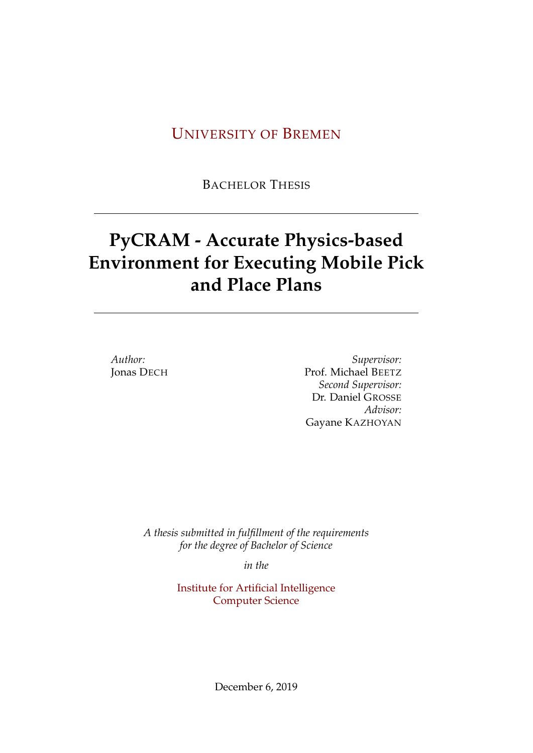# U[NIVERSITY OF](http://www.uni-bremen.de) BREMEN

BACHELOR THESIS

# **PyCRAM - Accurate Physics-based Environment for Executing Mobile Pick and Place Plans**

*Author:* Jonas DECH

*Supervisor:* Prof. Michael BEETZ *Second Supervisor:* Dr. Daniel GROSSE *Advisor:* Gayane KAZHOYAN

*A thesis submitted in fulfillment of the requirements for the degree of Bachelor of Science*

*in the*

[Institute for Artificial Intelligence](http://researchgroup.university.com) [Computer Science](http://department.university.com)

December 6, 2019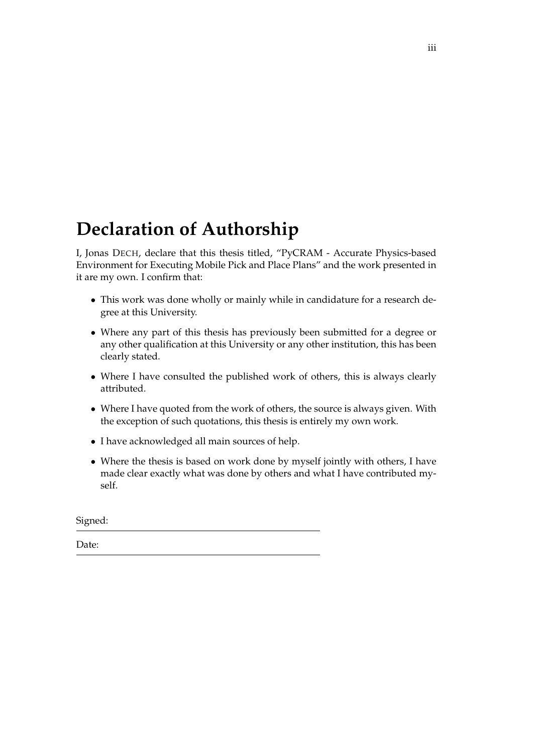# <span id="page-2-0"></span>**Declaration of Authorship**

I, Jonas DECH, declare that this thesis titled, "PyCRAM - Accurate Physics-based Environment for Executing Mobile Pick and Place Plans" and the work presented in it are my own. I confirm that:

- This work was done wholly or mainly while in candidature for a research degree at this University.
- Where any part of this thesis has previously been submitted for a degree or any other qualification at this University or any other institution, this has been clearly stated.
- Where I have consulted the published work of others, this is always clearly attributed.
- Where I have quoted from the work of others, the source is always given. With the exception of such quotations, this thesis is entirely my own work.
- I have acknowledged all main sources of help.
- Where the thesis is based on work done by myself jointly with others, I have made clear exactly what was done by others and what I have contributed myself.

Signed:

Date: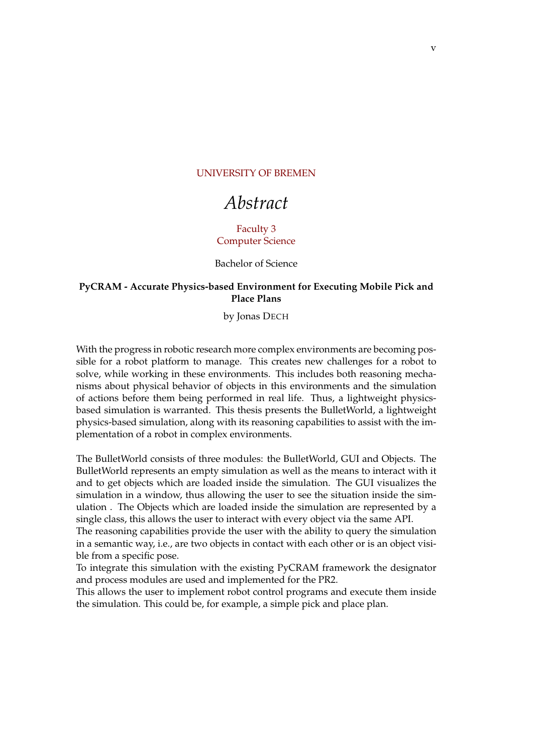#### <span id="page-4-0"></span>[UNIVERSITY OF BREMEN](HTTP://WWW.UNI-BREMEN.DE)

# *Abstract*

#### [Faculty 3](http://faculty.university.com) [Computer Science](http://department.university.com)

Bachelor of Science

#### **PyCRAM - Accurate Physics-based Environment for Executing Mobile Pick and Place Plans**

by Jonas DECH

With the progress in robotic research more complex environments are becoming possible for a robot platform to manage. This creates new challenges for a robot to solve, while working in these environments. This includes both reasoning mechanisms about physical behavior of objects in this environments and the simulation of actions before them being performed in real life. Thus, a lightweight physicsbased simulation is warranted. This thesis presents the BulletWorld, a lightweight physics-based simulation, along with its reasoning capabilities to assist with the implementation of a robot in complex environments.

The BulletWorld consists of three modules: the BulletWorld, GUI and Objects. The BulletWorld represents an empty simulation as well as the means to interact with it and to get objects which are loaded inside the simulation. The GUI visualizes the simulation in a window, thus allowing the user to see the situation inside the simulation . The Objects which are loaded inside the simulation are represented by a single class, this allows the user to interact with every object via the same API.

The reasoning capabilities provide the user with the ability to query the simulation in a semantic way, i.e., are two objects in contact with each other or is an object visible from a specific pose.

To integrate this simulation with the existing PyCRAM framework the designator and process modules are used and implemented for the PR2.

This allows the user to implement robot control programs and execute them inside the simulation. This could be, for example, a simple pick and place plan.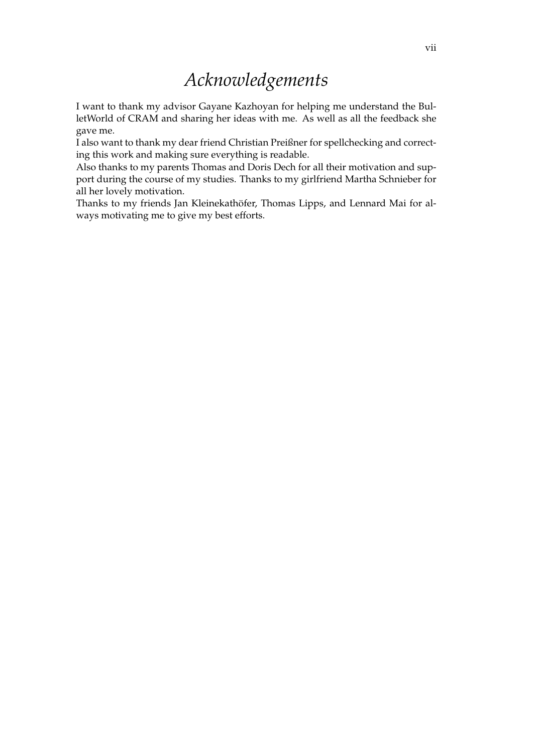# *Acknowledgements*

<span id="page-6-0"></span>I want to thank my advisor Gayane Kazhoyan for helping me understand the BulletWorld of CRAM and sharing her ideas with me. As well as all the feedback she gave me.

I also want to thank my dear friend Christian Preißner for spellchecking and correcting this work and making sure everything is readable.

Also thanks to my parents Thomas and Doris Dech for all their motivation and support during the course of my studies. Thanks to my girlfriend Martha Schnieber for all her lovely motivation.

Thanks to my friends Jan Kleinekathöfer, Thomas Lipps, and Lennard Mai for always motivating me to give my best efforts.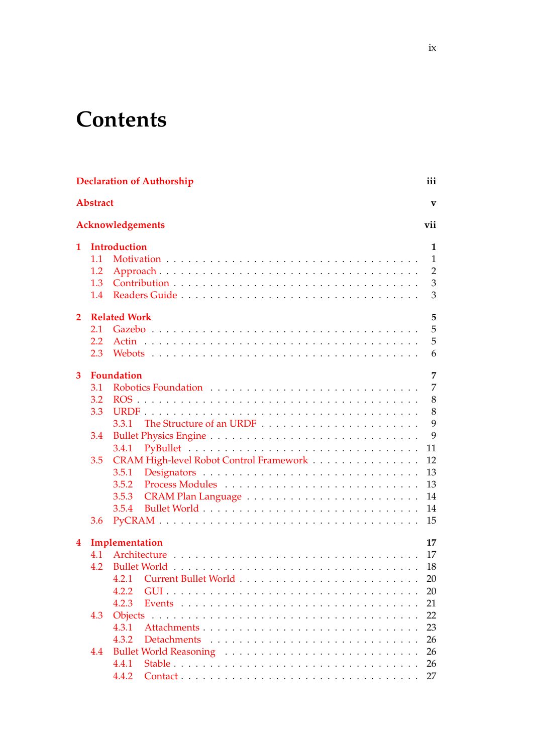# **Contents**

| <b>Declaration of Authorship</b><br>iii |                 |                                         |                |  |  |  |  |  |  |
|-----------------------------------------|-----------------|-----------------------------------------|----------------|--|--|--|--|--|--|
|                                         | <b>Abstract</b> |                                         | V              |  |  |  |  |  |  |
|                                         |                 | Acknowledgements                        | vii            |  |  |  |  |  |  |
| 1                                       |                 | <b>Introduction</b>                     |                |  |  |  |  |  |  |
|                                         | 1.1             |                                         | $\mathbf{1}$   |  |  |  |  |  |  |
|                                         | 1.2             |                                         | $\overline{2}$ |  |  |  |  |  |  |
|                                         | 1.3             |                                         | 3              |  |  |  |  |  |  |
|                                         | $1.4^{\circ}$   |                                         | 3              |  |  |  |  |  |  |
| $\overline{2}$                          |                 | <b>Related Work</b>                     | 5              |  |  |  |  |  |  |
|                                         | 2.1             |                                         | 5              |  |  |  |  |  |  |
|                                         | 2.2             |                                         | 5              |  |  |  |  |  |  |
|                                         | 2.3             |                                         | 6              |  |  |  |  |  |  |
| 3                                       |                 | <b>Foundation</b>                       | 7              |  |  |  |  |  |  |
|                                         | 3.1             | Robotics Foundation                     | 7              |  |  |  |  |  |  |
|                                         | 3.2             |                                         | 8              |  |  |  |  |  |  |
|                                         |                 |                                         | 8              |  |  |  |  |  |  |
|                                         | 3.3             |                                         |                |  |  |  |  |  |  |
|                                         |                 | 3.3.1                                   | 9              |  |  |  |  |  |  |
|                                         | 3.4             |                                         | 9              |  |  |  |  |  |  |
|                                         |                 | 3.4.1                                   | 11             |  |  |  |  |  |  |
|                                         | 3.5             | CRAM High-level Robot Control Framework | 12             |  |  |  |  |  |  |
|                                         |                 | 3.5.1                                   | 13             |  |  |  |  |  |  |
|                                         |                 | 3.5.2                                   | 13             |  |  |  |  |  |  |
|                                         |                 | 3.5.3                                   | 14             |  |  |  |  |  |  |
|                                         |                 | 3.5.4                                   | 14             |  |  |  |  |  |  |
|                                         | 3.6             |                                         | 15             |  |  |  |  |  |  |
| $\bf{4}$                                |                 | Implementation                          | 17             |  |  |  |  |  |  |
|                                         | 4.1             |                                         | -17            |  |  |  |  |  |  |
|                                         | 4.2             |                                         | 18             |  |  |  |  |  |  |
|                                         |                 | 4.2.1                                   | 20             |  |  |  |  |  |  |
|                                         |                 | 4.2.2                                   | 20             |  |  |  |  |  |  |
|                                         |                 | 4.2.3                                   | 21             |  |  |  |  |  |  |
|                                         | 4.3             | <b>Objects</b>                          | 22             |  |  |  |  |  |  |
|                                         |                 | 4.3.1                                   | 23             |  |  |  |  |  |  |
|                                         |                 | 4.3.2                                   | 26             |  |  |  |  |  |  |
|                                         | 4.4             |                                         | 26             |  |  |  |  |  |  |
|                                         |                 | 4.4.1                                   | 26             |  |  |  |  |  |  |
|                                         |                 |                                         |                |  |  |  |  |  |  |
|                                         |                 | 4.4.2                                   | 27             |  |  |  |  |  |  |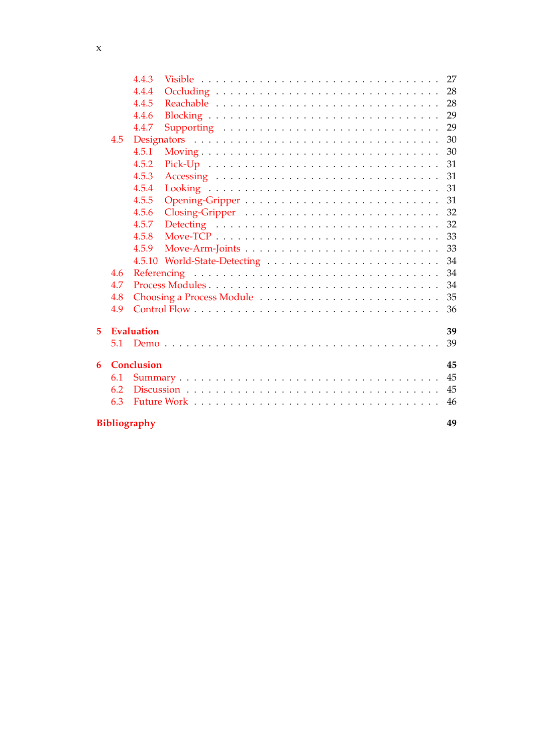|   |                           | 4.4.3      |                                                                                          | 27 |  |  |  |
|---|---------------------------|------------|------------------------------------------------------------------------------------------|----|--|--|--|
|   |                           | 4.4.4      |                                                                                          | 28 |  |  |  |
|   |                           | 4.4.5      |                                                                                          | 28 |  |  |  |
|   |                           | 4.4.6      |                                                                                          | 29 |  |  |  |
|   |                           | 4.4.7      | Supporting                                                                               | 29 |  |  |  |
|   | 4.5                       |            |                                                                                          | 30 |  |  |  |
|   |                           | 4.5.1      |                                                                                          | 30 |  |  |  |
|   |                           | 4.5.2      |                                                                                          | 31 |  |  |  |
|   |                           | 4.5.3      |                                                                                          | 31 |  |  |  |
|   |                           | 4.5.4      |                                                                                          | 31 |  |  |  |
|   |                           | 4.5.5      |                                                                                          | 31 |  |  |  |
|   |                           | 4.5.6      |                                                                                          | 32 |  |  |  |
|   |                           | 4.5.7      | Detecting $\ldots \ldots \ldots \ldots \ldots \ldots \ldots \ldots \ldots \ldots \ldots$ | 32 |  |  |  |
|   |                           | 4.5.8      |                                                                                          | 33 |  |  |  |
|   |                           | 4.5.9      |                                                                                          | 33 |  |  |  |
|   |                           |            |                                                                                          | 34 |  |  |  |
|   | 4.6                       |            |                                                                                          | 34 |  |  |  |
|   | 4.7                       |            |                                                                                          | 34 |  |  |  |
|   | 4.8                       |            | Choosing a Process Module                                                                | 35 |  |  |  |
|   | 4.9                       |            |                                                                                          | 36 |  |  |  |
|   |                           |            |                                                                                          |    |  |  |  |
| 5 |                           | Evaluation |                                                                                          | 39 |  |  |  |
|   | 5.1                       |            |                                                                                          | 39 |  |  |  |
|   |                           |            |                                                                                          |    |  |  |  |
| 6 | <b>Conclusion</b><br>45   |            |                                                                                          |    |  |  |  |
|   | 6.1                       |            |                                                                                          | 45 |  |  |  |
|   | 6.2                       |            |                                                                                          | 45 |  |  |  |
|   | 6.3                       |            |                                                                                          | 46 |  |  |  |
|   |                           |            |                                                                                          |    |  |  |  |
|   | <b>Bibliography</b><br>49 |            |                                                                                          |    |  |  |  |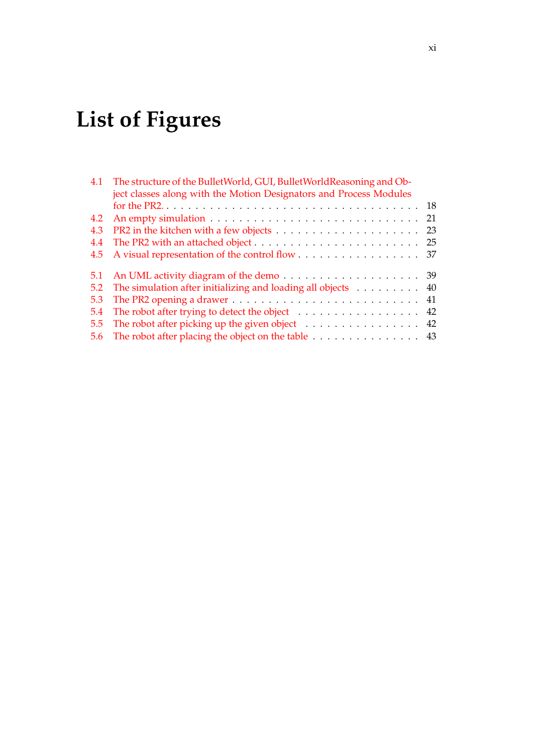# **List of Figures**

| 4.1 | The structure of the BulletWorld, GUI, BulletWorldReasoning and Ob-<br>ject classes along with the Motion Designators and Process Modules |  |
|-----|-------------------------------------------------------------------------------------------------------------------------------------------|--|
|     |                                                                                                                                           |  |
| 4.2 |                                                                                                                                           |  |
| 4.3 |                                                                                                                                           |  |
| 4.4 |                                                                                                                                           |  |
| 4.5 |                                                                                                                                           |  |
| 5.1 |                                                                                                                                           |  |
| 5.2 | The simulation after initializing and loading all objects 40                                                                              |  |
| 5.3 |                                                                                                                                           |  |
| 5.4 | The robot after trying to detect the object $\dots \dots \dots \dots \dots \dots$ 42                                                      |  |
| 5.5 | The robot after picking up the given object $\dots \dots \dots \dots \dots \dots$ 42                                                      |  |
| 5.6 | The robot after placing the object on the table 43                                                                                        |  |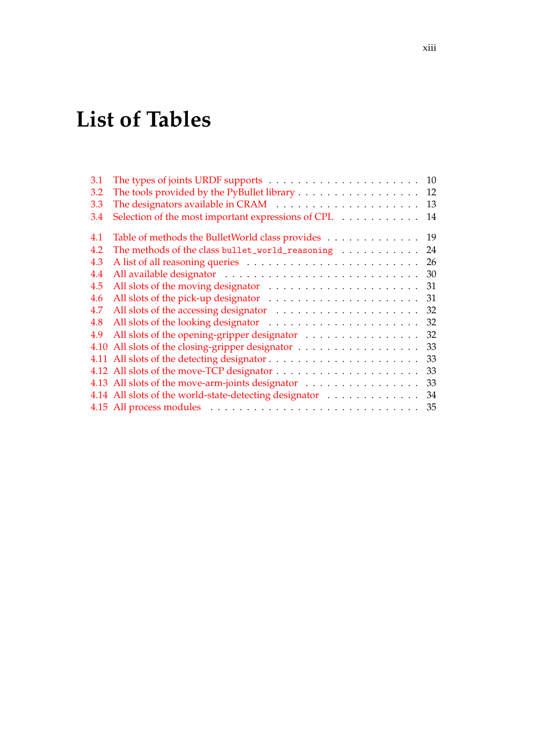# **List of Tables**

| 3.1 |                                                        | 10 |
|-----|--------------------------------------------------------|----|
| 3.2 |                                                        | 12 |
| 3.3 |                                                        | 13 |
| 3.4 | Selection of the most important expressions of CPL     | 14 |
| 4.1 | Table of methods the BulletWorld class provides 19     |    |
| 4.2 | The methods of the class bullet_world_reasoning        | 24 |
| 4.3 |                                                        | 26 |
| 4.4 |                                                        | 30 |
| 4.5 |                                                        | 31 |
| 4.6 |                                                        | 31 |
| 4.7 |                                                        | 32 |
| 4.8 |                                                        | 32 |
| 4.9 | All slots of the opening-gripper designator            | 32 |
|     |                                                        | 33 |
|     |                                                        | 33 |
|     |                                                        | 33 |
|     | 4.13 All slots of the move-arm-joints designator       | 33 |
|     | 4.14 All slots of the world-state-detecting designator | 34 |
|     |                                                        | 35 |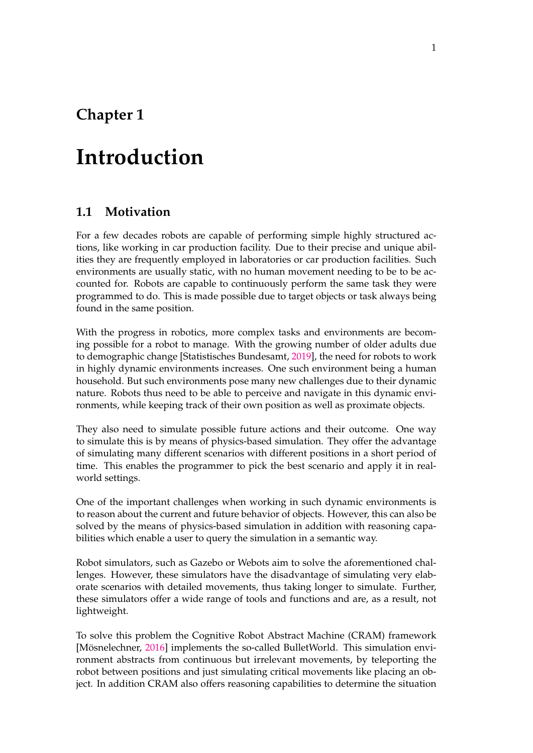# <span id="page-14-0"></span>**Chapter 1**

# **Introduction**

### <span id="page-14-1"></span>**1.1 Motivation**

For a few decades robots are capable of performing simple highly structured actions, like working in car production facility. Due to their precise and unique abilities they are frequently employed in laboratories or car production facilities. Such environments are usually static, with no human movement needing to be to be accounted for. Robots are capable to continuously perform the same task they were programmed to do. This is made possible due to target objects or task always being found in the same position.

With the progress in robotics, more complex tasks and environments are becoming possible for a robot to manage. With the growing number of older adults due to demographic change [Statistisches Bundesamt, [2019\]](#page-62-1), the need for robots to work in highly dynamic environments increases. One such environment being a human household. But such environments pose many new challenges due to their dynamic nature. Robots thus need to be able to perceive and navigate in this dynamic environments, while keeping track of their own position as well as proximate objects.

They also need to simulate possible future actions and their outcome. One way to simulate this is by means of physics-based simulation. They offer the advantage of simulating many different scenarios with different positions in a short period of time. This enables the programmer to pick the best scenario and apply it in realworld settings.

One of the important challenges when working in such dynamic environments is to reason about the current and future behavior of objects. However, this can also be solved by the means of physics-based simulation in addition with reasoning capabilities which enable a user to query the simulation in a semantic way.

Robot simulators, such as Gazebo or Webots aim to solve the aforementioned challenges. However, these simulators have the disadvantage of simulating very elaborate scenarios with detailed movements, thus taking longer to simulate. Further, these simulators offer a wide range of tools and functions and are, as a result, not lightweight.

To solve this problem the Cognitive Robot Abstract Machine (CRAM) framework [Mösnelechner, [2016\]](#page-62-2) implements the so-called BulletWorld. This simulation environment abstracts from continuous but irrelevant movements, by teleporting the robot between positions and just simulating critical movements like placing an object. In addition CRAM also offers reasoning capabilities to determine the situation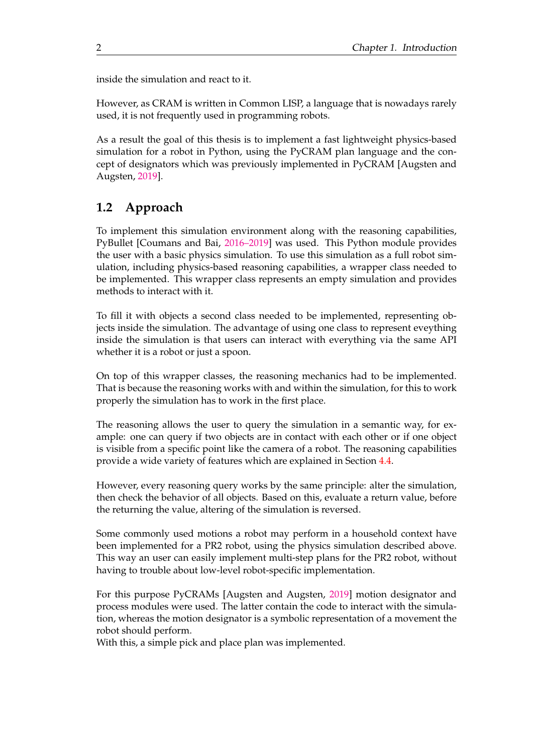inside the simulation and react to it.

However, as CRAM is written in Common LISP, a language that is nowadays rarely used, it is not frequently used in programming robots.

As a result the goal of this thesis is to implement a fast lightweight physics-based simulation for a robot in Python, using the PyCRAM plan language and the concept of designators which was previously implemented in PyCRAM [Augsten and Augsten, [2019\]](#page-62-3).

## <span id="page-15-0"></span>**1.2 Approach**

To implement this simulation environment along with the reasoning capabilities, PyBullet [Coumans and Bai, [2016–2019\]](#page-62-4) was used. This Python module provides the user with a basic physics simulation. To use this simulation as a full robot simulation, including physics-based reasoning capabilities, a wrapper class needed to be implemented. This wrapper class represents an empty simulation and provides methods to interact with it.

To fill it with objects a second class needed to be implemented, representing objects inside the simulation. The advantage of using one class to represent eveything inside the simulation is that users can interact with everything via the same API whether it is a robot or just a spoon.

On top of this wrapper classes, the reasoning mechanics had to be implemented. That is because the reasoning works with and within the simulation, for this to work properly the simulation has to work in the first place.

The reasoning allows the user to query the simulation in a semantic way, for example: one can query if two objects are in contact with each other or if one object is visible from a specific point like the camera of a robot. The reasoning capabilities provide a wide variety of features which are explained in Section [4.4.](#page-39-1)

However, every reasoning query works by the same principle: alter the simulation, then check the behavior of all objects. Based on this, evaluate a return value, before the returning the value, altering of the simulation is reversed.

Some commonly used motions a robot may perform in a household context have been implemented for a PR2 robot, using the physics simulation described above. This way an user can easily implement multi-step plans for the PR2 robot, without having to trouble about low-level robot-specific implementation.

For this purpose PyCRAMs [Augsten and Augsten, [2019\]](#page-62-3) motion designator and process modules were used. The latter contain the code to interact with the simulation, whereas the motion designator is a symbolic representation of a movement the robot should perform.

With this, a simple pick and place plan was implemented.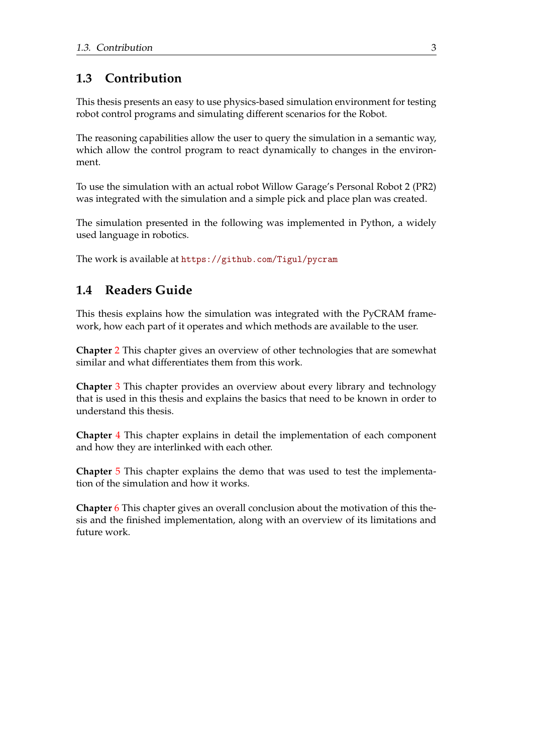# <span id="page-16-0"></span>**1.3 Contribution**

This thesis presents an easy to use physics-based simulation environment for testing robot control programs and simulating different scenarios for the Robot.

The reasoning capabilities allow the user to query the simulation in a semantic way, which allow the control program to react dynamically to changes in the environment.

To use the simulation with an actual robot Willow Garage's Personal Robot 2 (PR2) was integrated with the simulation and a simple pick and place plan was created.

The simulation presented in the following was implemented in Python, a widely used language in robotics.

The work is available at <https://github.com/Tigul/pycram>

# <span id="page-16-1"></span>**1.4 Readers Guide**

This thesis explains how the simulation was integrated with the PyCRAM framework, how each part of it operates and which methods are available to the user.

**Chapter** [2](#page-18-0) This chapter gives an overview of other technologies that are somewhat similar and what differentiates them from this work.

**Chapter** [3](#page-20-0) This chapter provides an overview about every library and technology that is used in this thesis and explains the basics that need to be known in order to understand this thesis.

**Chapter** [4](#page-30-0) This chapter explains in detail the implementation of each component and how they are interlinked with each other.

**Chapter** [5](#page-52-0) This chapter explains the demo that was used to test the implementation of the simulation and how it works.

**Chapter** [6](#page-58-0) This chapter gives an overall conclusion about the motivation of this thesis and the finished implementation, along with an overview of its limitations and future work.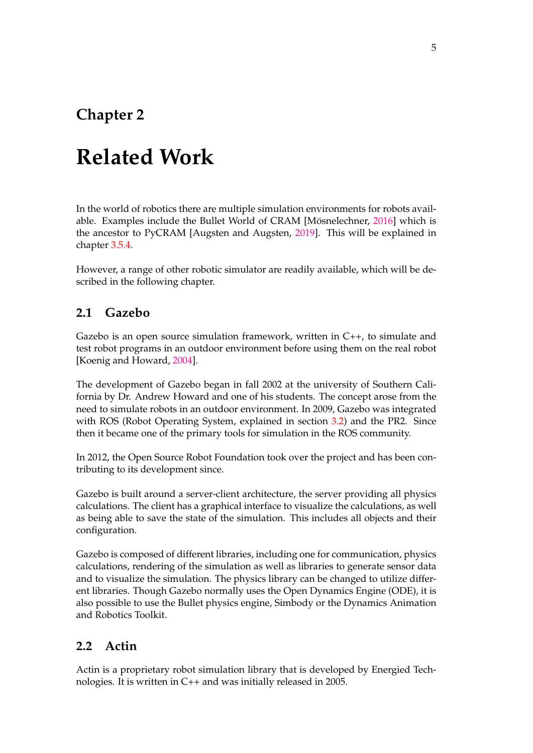# <span id="page-18-0"></span>**Chapter 2**

# **Related Work**

In the world of robotics there are multiple simulation environments for robots available. Examples include the Bullet World of CRAM [Mösnelechner, [2016\]](#page-62-2) which is the ancestor to PyCRAM [Augsten and Augsten, [2019\]](#page-62-3). This will be explained in chapter [3.5.4.](#page-27-1)

However, a range of other robotic simulator are readily available, which will be described in the following chapter.

## <span id="page-18-1"></span>**2.1 Gazebo**

Gazebo is an open source simulation framework, written in C++, to simulate and test robot programs in an outdoor environment before using them on the real robot [Koenig and Howard, [2004\]](#page-62-5).

The development of Gazebo began in fall 2002 at the university of Southern California by Dr. Andrew Howard and one of his students. The concept arose from the need to simulate robots in an outdoor environment. In 2009, Gazebo was integrated with ROS (Robot Operating System, explained in section [3.2\)](#page-21-0) and the PR2. Since then it became one of the primary tools for simulation in the ROS community.

In 2012, the Open Source Robot Foundation took over the project and has been contributing to its development since.

Gazebo is built around a server-client architecture, the server providing all physics calculations. The client has a graphical interface to visualize the calculations, as well as being able to save the state of the simulation. This includes all objects and their configuration.

Gazebo is composed of different libraries, including one for communication, physics calculations, rendering of the simulation as well as libraries to generate sensor data and to visualize the simulation. The physics library can be changed to utilize different libraries. Though Gazebo normally uses the Open Dynamics Engine (ODE), it is also possible to use the Bullet physics engine, Simbody or the Dynamics Animation and Robotics Toolkit.

## <span id="page-18-2"></span>**2.2 Actin**

Actin is a proprietary robot simulation library that is developed by Energied Technologies. It is written in C++ and was initially released in 2005.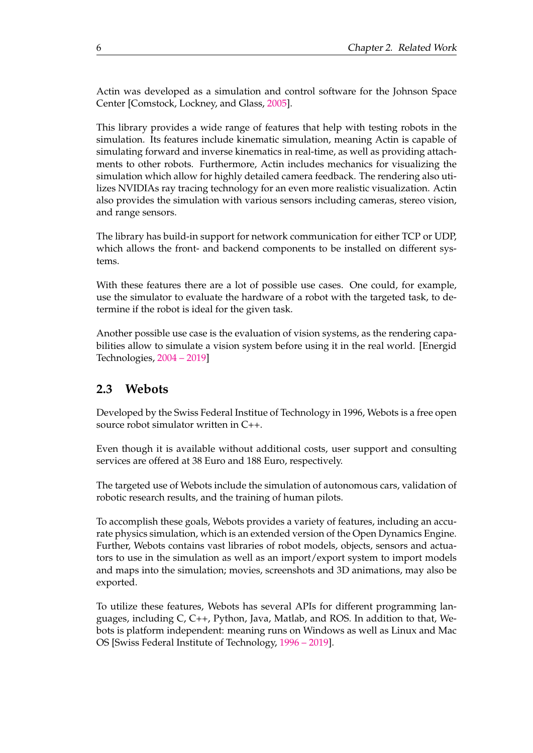Actin was developed as a simulation and control software for the Johnson Space Center [Comstock, Lockney, and Glass, [2005\]](#page-62-6).

This library provides a wide range of features that help with testing robots in the simulation. Its features include kinematic simulation, meaning Actin is capable of simulating forward and inverse kinematics in real-time, as well as providing attachments to other robots. Furthermore, Actin includes mechanics for visualizing the simulation which allow for highly detailed camera feedback. The rendering also utilizes NVIDIAs ray tracing technology for an even more realistic visualization. Actin also provides the simulation with various sensors including cameras, stereo vision, and range sensors.

The library has build-in support for network communication for either TCP or UDP, which allows the front- and backend components to be installed on different systems.

With these features there are a lot of possible use cases. One could, for example, use the simulator to evaluate the hardware of a robot with the targeted task, to determine if the robot is ideal for the given task.

Another possible use case is the evaluation of vision systems, as the rendering capabilities allow to simulate a vision system before using it in the real world. [Energid Technologies, [2004 – 2019\]](#page-62-7)

### <span id="page-19-0"></span>**2.3 Webots**

Developed by the Swiss Federal Institue of Technology in 1996, Webots is a free open source robot simulator written in C++.

Even though it is available without additional costs, user support and consulting services are offered at 38 Euro and 188 Euro, respectively.

The targeted use of Webots include the simulation of autonomous cars, validation of robotic research results, and the training of human pilots.

To accomplish these goals, Webots provides a variety of features, including an accurate physics simulation, which is an extended version of the Open Dynamics Engine. Further, Webots contains vast libraries of robot models, objects, sensors and actuators to use in the simulation as well as an import/export system to import models and maps into the simulation; movies, screenshots and 3D animations, may also be exported.

To utilize these features, Webots has several APIs for different programming languages, including C, C++, Python, Java, Matlab, and ROS. In addition to that, Webots is platform independent: meaning runs on Windows as well as Linux and Mac OS [Swiss Federal Institute of Technology, [1996 – 2019\]](#page-62-8).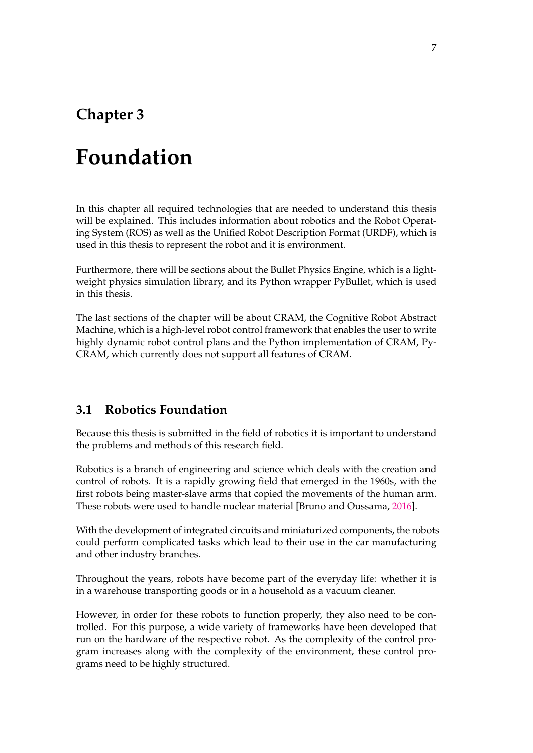# <span id="page-20-0"></span>**Chapter 3**

# **Foundation**

In this chapter all required technologies that are needed to understand this thesis will be explained. This includes information about robotics and the Robot Operating System (ROS) as well as the Unified Robot Description Format (URDF), which is used in this thesis to represent the robot and it is environment.

Furthermore, there will be sections about the Bullet Physics Engine, which is a lightweight physics simulation library, and its Python wrapper PyBullet, which is used in this thesis.

The last sections of the chapter will be about CRAM, the Cognitive Robot Abstract Machine, which is a high-level robot control framework that enables the user to write highly dynamic robot control plans and the Python implementation of CRAM, Py-CRAM, which currently does not support all features of CRAM.

### <span id="page-20-1"></span>**3.1 Robotics Foundation**

Because this thesis is submitted in the field of robotics it is important to understand the problems and methods of this research field.

Robotics is a branch of engineering and science which deals with the creation and control of robots. It is a rapidly growing field that emerged in the 1960s, with the first robots being master-slave arms that copied the movements of the human arm. These robots were used to handle nuclear material [Bruno and Oussama, [2016\]](#page-62-9).

With the development of integrated circuits and miniaturized components, the robots could perform complicated tasks which lead to their use in the car manufacturing and other industry branches.

Throughout the years, robots have become part of the everyday life: whether it is in a warehouse transporting goods or in a household as a vacuum cleaner.

However, in order for these robots to function properly, they also need to be controlled. For this purpose, a wide variety of frameworks have been developed that run on the hardware of the respective robot. As the complexity of the control program increases along with the complexity of the environment, these control programs need to be highly structured.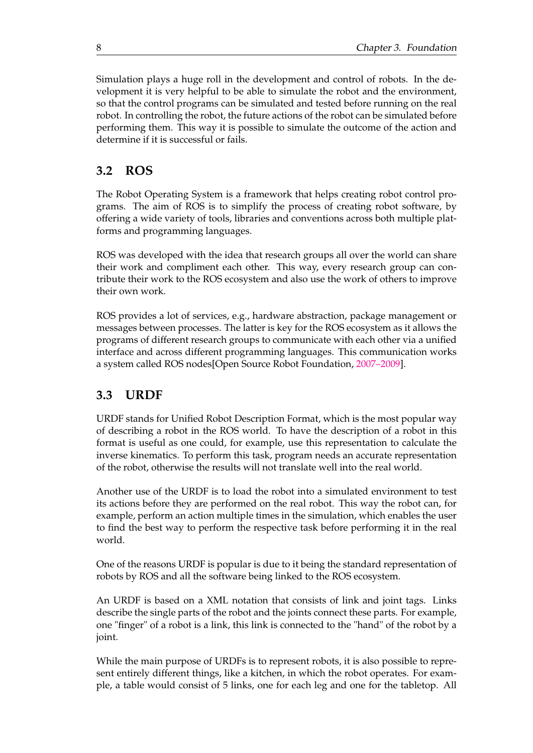Simulation plays a huge roll in the development and control of robots. In the development it is very helpful to be able to simulate the robot and the environment, so that the control programs can be simulated and tested before running on the real robot. In controlling the robot, the future actions of the robot can be simulated before performing them. This way it is possible to simulate the outcome of the action and determine if it is successful or fails.

## <span id="page-21-0"></span>**3.2 ROS**

The Robot Operating System is a framework that helps creating robot control programs. The aim of ROS is to simplify the process of creating robot software, by offering a wide variety of tools, libraries and conventions across both multiple platforms and programming languages.

ROS was developed with the idea that research groups all over the world can share their work and compliment each other. This way, every research group can contribute their work to the ROS ecosystem and also use the work of others to improve their own work.

ROS provides a lot of services, e.g., hardware abstraction, package management or messages between processes. The latter is key for the ROS ecosystem as it allows the programs of different research groups to communicate with each other via a unified interface and across different programming languages. This communication works a system called ROS nodes[Open Source Robot Foundation, [2007–2009\]](#page-62-10).

## <span id="page-21-1"></span>**3.3 URDF**

URDF stands for Unified Robot Description Format, which is the most popular way of describing a robot in the ROS world. To have the description of a robot in this format is useful as one could, for example, use this representation to calculate the inverse kinematics. To perform this task, program needs an accurate representation of the robot, otherwise the results will not translate well into the real world.

Another use of the URDF is to load the robot into a simulated environment to test its actions before they are performed on the real robot. This way the robot can, for example, perform an action multiple times in the simulation, which enables the user to find the best way to perform the respective task before performing it in the real world.

One of the reasons URDF is popular is due to it being the standard representation of robots by ROS and all the software being linked to the ROS ecosystem.

An URDF is based on a XML notation that consists of link and joint tags. Links describe the single parts of the robot and the joints connect these parts. For example, one "finger" of a robot is a link, this link is connected to the "hand" of the robot by a joint.

While the main purpose of URDFs is to represent robots, it is also possible to represent entirely different things, like a kitchen, in which the robot operates. For example, a table would consist of 5 links, one for each leg and one for the tabletop. All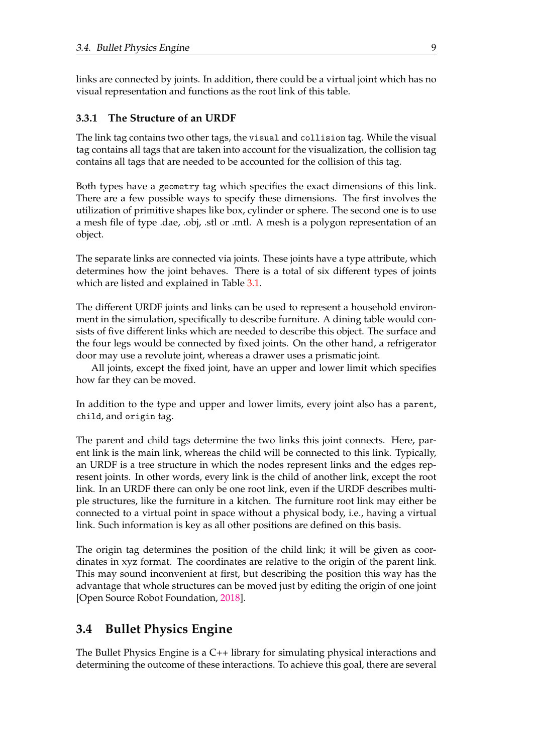links are connected by joints. In addition, there could be a virtual joint which has no visual representation and functions as the root link of this table.

#### <span id="page-22-0"></span>**3.3.1 The Structure of an URDF**

The link tag contains two other tags, the visual and collision tag. While the visual tag contains all tags that are taken into account for the visualization, the collision tag contains all tags that are needed to be accounted for the collision of this tag.

Both types have a geometry tag which specifies the exact dimensions of this link. There are a few possible ways to specify these dimensions. The first involves the utilization of primitive shapes like box, cylinder or sphere. The second one is to use a mesh file of type .dae, .obj, .stl or .mtl. A mesh is a polygon representation of an object.

The separate links are connected via joints. These joints have a type attribute, which determines how the joint behaves. There is a total of six different types of joints which are listed and explained in Table [3.1.](#page-23-0)

The different URDF joints and links can be used to represent a household environment in the simulation, specifically to describe furniture. A dining table would consists of five different links which are needed to describe this object. The surface and the four legs would be connected by fixed joints. On the other hand, a refrigerator door may use a revolute joint, whereas a drawer uses a prismatic joint.

All joints, except the fixed joint, have an upper and lower limit which specifies how far they can be moved.

In addition to the type and upper and lower limits, every joint also has a parent, child, and origin tag.

The parent and child tags determine the two links this joint connects. Here, parent link is the main link, whereas the child will be connected to this link. Typically, an URDF is a tree structure in which the nodes represent links and the edges represent joints. In other words, every link is the child of another link, except the root link. In an URDF there can only be one root link, even if the URDF describes multiple structures, like the furniture in a kitchen. The furniture root link may either be connected to a virtual point in space without a physical body, i.e., having a virtual link. Such information is key as all other positions are defined on this basis.

The origin tag determines the position of the child link; it will be given as coordinates in xyz format. The coordinates are relative to the origin of the parent link. This may sound inconvenient at first, but describing the position this way has the advantage that whole structures can be moved just by editing the origin of one joint [Open Source Robot Foundation, [2018\]](#page-62-11).

## <span id="page-22-1"></span>**3.4 Bullet Physics Engine**

The Bullet Physics Engine is a C++ library for simulating physical interactions and determining the outcome of these interactions. To achieve this goal, there are several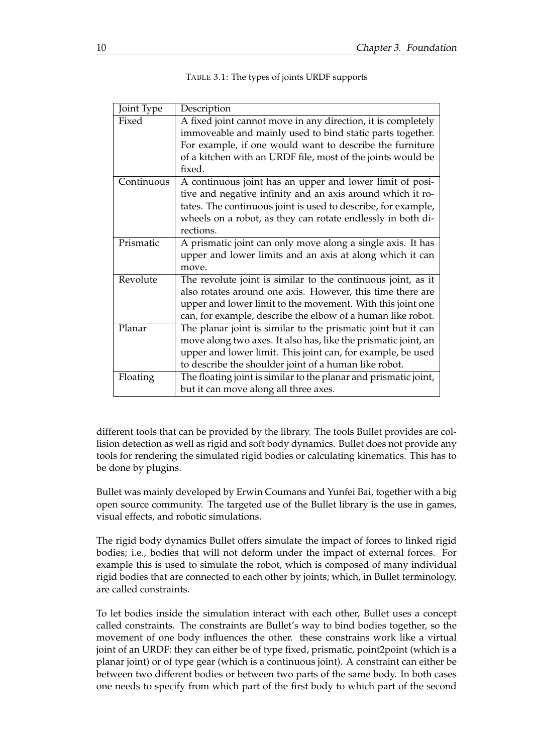<span id="page-23-0"></span>

| Joint Type | Description                                                      |  |  |  |  |
|------------|------------------------------------------------------------------|--|--|--|--|
| Fixed      | A fixed joint cannot move in any direction, it is completely     |  |  |  |  |
|            | immoveable and mainly used to bind static parts together.        |  |  |  |  |
|            | For example, if one would want to describe the furniture         |  |  |  |  |
|            | of a kitchen with an URDF file, most of the joints would be      |  |  |  |  |
|            | fixed.                                                           |  |  |  |  |
| Continuous | A continuous joint has an upper and lower limit of posi-         |  |  |  |  |
|            | tive and negative infinity and an axis around which it ro-       |  |  |  |  |
|            | tates. The continuous joint is used to describe, for example,    |  |  |  |  |
|            | wheels on a robot, as they can rotate endlessly in both di-      |  |  |  |  |
|            | rections.                                                        |  |  |  |  |
| Prismatic  | A prismatic joint can only move along a single axis. It has      |  |  |  |  |
|            | upper and lower limits and an axis at along which it can         |  |  |  |  |
|            | move.                                                            |  |  |  |  |
| Revolute   | The revolute joint is similar to the continuous joint, as it     |  |  |  |  |
|            | also rotates around one axis. However, this time there are       |  |  |  |  |
|            | upper and lower limit to the movement. With this joint one       |  |  |  |  |
|            | can, for example, describe the elbow of a human like robot.      |  |  |  |  |
| Planar     | The planar joint is similar to the prismatic joint but it can    |  |  |  |  |
|            | move along two axes. It also has, like the prismatic joint, an   |  |  |  |  |
|            | upper and lower limit. This joint can, for example, be used      |  |  |  |  |
|            | to describe the shoulder joint of a human like robot.            |  |  |  |  |
| Floating   | The floating joint is similar to the planar and prismatic joint, |  |  |  |  |
|            | but it can move along all three axes.                            |  |  |  |  |

different tools that can be provided by the library. The tools Bullet provides are collision detection as well as rigid and soft body dynamics. Bullet does not provide any tools for rendering the simulated rigid bodies or calculating kinematics. This has to be done by plugins.

Bullet was mainly developed by Erwin Coumans and Yunfei Bai, together with a big open source community. The targeted use of the Bullet library is the use in games, visual effects, and robotic simulations.

The rigid body dynamics Bullet offers simulate the impact of forces to linked rigid bodies; i.e., bodies that will not deform under the impact of external forces. For example this is used to simulate the robot, which is composed of many individual rigid bodies that are connected to each other by joints; which, in Bullet terminology, are called constraints.

To let bodies inside the simulation interact with each other, Bullet uses a concept called constraints. The constraints are Bullet's way to bind bodies together, so the movement of one body influences the other. these constrains work like a virtual joint of an URDF: they can either be of type fixed, prismatic, point2point (which is a planar joint) or of type gear (which is a continuous joint). A constraint can either be between two different bodies or between two parts of the same body. In both cases one needs to specify from which part of the first body to which part of the second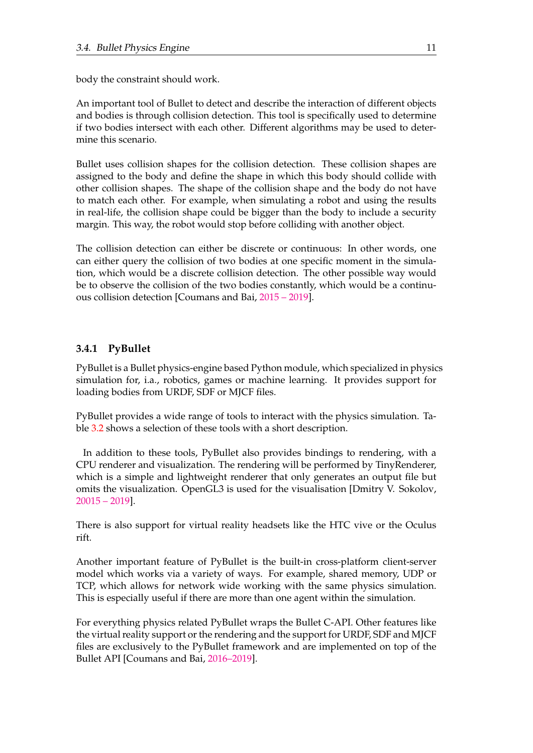body the constraint should work.

An important tool of Bullet to detect and describe the interaction of different objects and bodies is through collision detection. This tool is specifically used to determine if two bodies intersect with each other. Different algorithms may be used to determine this scenario.

Bullet uses collision shapes for the collision detection. These collision shapes are assigned to the body and define the shape in which this body should collide with other collision shapes. The shape of the collision shape and the body do not have to match each other. For example, when simulating a robot and using the results in real-life, the collision shape could be bigger than the body to include a security margin. This way, the robot would stop before colliding with another object.

The collision detection can either be discrete or continuous: In other words, one can either query the collision of two bodies at one specific moment in the simulation, which would be a discrete collision detection. The other possible way would be to observe the collision of the two bodies constantly, which would be a continuous collision detection [Coumans and Bai, [2015 – 2019\]](#page-62-12).

#### <span id="page-24-0"></span>**3.4.1 PyBullet**

PyBullet is a Bullet physics-engine based Python module, which specialized in physics simulation for, i.a., robotics, games or machine learning. It provides support for loading bodies from URDF, SDF or MJCF files.

PyBullet provides a wide range of tools to interact with the physics simulation. Table [3.2](#page-25-1) shows a selection of these tools with a short description.

In addition to these tools, PyBullet also provides bindings to rendering, with a CPU renderer and visualization. The rendering will be performed by TinyRenderer, which is a simple and lightweight renderer that only generates an output file but omits the visualization. OpenGL3 is used for the visualisation [Dmitry V. Sokolov, [20015 – 2019\]](#page-62-13).

There is also support for virtual reality headsets like the HTC vive or the Oculus rift.

Another important feature of PyBullet is the built-in cross-platform client-server model which works via a variety of ways. For example, shared memory, UDP or TCP, which allows for network wide working with the same physics simulation. This is especially useful if there are more than one agent within the simulation.

For everything physics related PyBullet wraps the Bullet C-API. Other features like the virtual reality support or the rendering and the support for URDF, SDF and MJCF files are exclusively to the PyBullet framework and are implemented on top of the Bullet API [Coumans and Bai, [2016–2019\]](#page-62-4).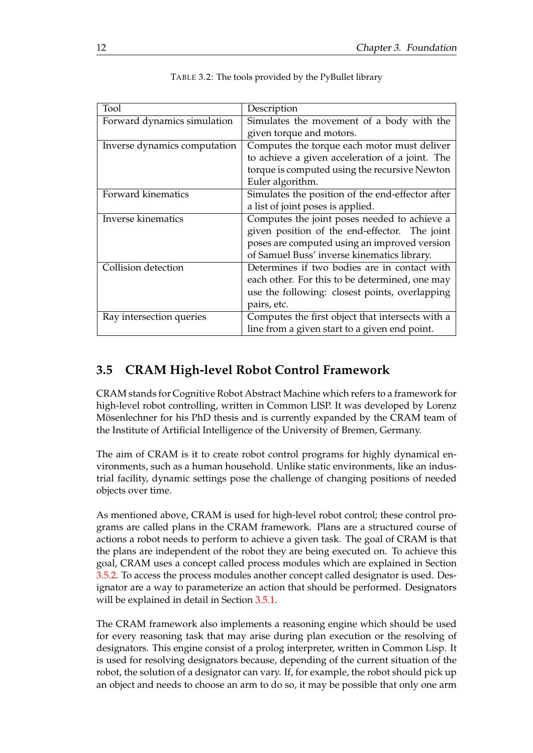<span id="page-25-1"></span>

| Tool                         | Description                                      |
|------------------------------|--------------------------------------------------|
|                              |                                                  |
| Forward dynamics simulation  | Simulates the movement of a body with the        |
|                              | given torque and motors.                         |
| Inverse dynamics computation | Computes the torque each motor must deliver      |
|                              | to achieve a given acceleration of a joint. The  |
|                              | torque is computed using the recursive Newton    |
|                              | Euler algorithm.                                 |
| Forward kinematics           | Simulates the position of the end-effector after |
|                              | a list of joint poses is applied.                |
| Inverse kinematics           | Computes the joint poses needed to achieve a     |
|                              | given position of the end-effector. The joint    |
|                              | poses are computed using an improved version     |
|                              | of Samuel Buss' inverse kinematics library.      |
| Collision detection          | Determines if two bodies are in contact with     |
|                              | each other. For this to be determined, one may   |
|                              | use the following: closest points, overlapping   |
|                              | pairs, etc.                                      |
| Ray intersection queries     | Computes the first object that intersects with a |
|                              | line from a given start to a given end point.    |

| TABLE 3.2: The tools provided by the PyBullet library |  |  |  |
|-------------------------------------------------------|--|--|--|
|                                                       |  |  |  |

## <span id="page-25-0"></span>**3.5 CRAM High-level Robot Control Framework**

CRAM stands for Cognitive Robot Abstract Machine which refers to a framework for high-level robot controlling, written in Common LISP. It was developed by Lorenz Mösenlechner for his PhD thesis and is currently expanded by the CRAM team of the Institute of Artificial Intelligence of the University of Bremen, Germany.

The aim of CRAM is it to create robot control programs for highly dynamical environments, such as a human household. Unlike static environments, like an industrial facility, dynamic settings pose the challenge of changing positions of needed objects over time.

As mentioned above, CRAM is used for high-level robot control; these control programs are called plans in the CRAM framework. Plans are a structured course of actions a robot needs to perform to achieve a given task. The goal of CRAM is that the plans are independent of the robot they are being executed on. To achieve this goal, CRAM uses a concept called process modules which are explained in Section [3.5.2.](#page-26-1) To access the process modules another concept called designator is used. Designator are a way to parameterize an action that should be performed. Designators will be explained in detail in Section [3.5.1.](#page-26-0)

The CRAM framework also implements a reasoning engine which should be used for every reasoning task that may arise during plan execution or the resolving of designators. This engine consist of a prolog interpreter, written in Common Lisp. It is used for resolving designators because, depending of the current situation of the robot, the solution of a designator can vary. If, for example, the robot should pick up an object and needs to choose an arm to do so, it may be possible that only one arm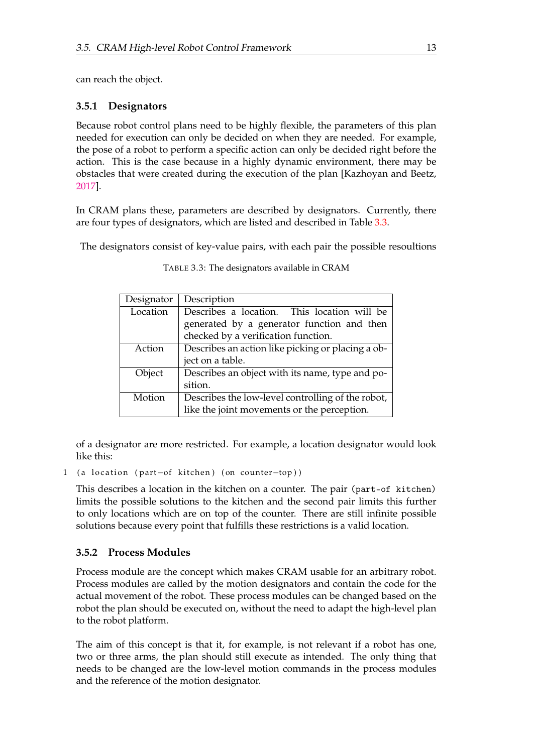can reach the object.

#### <span id="page-26-0"></span>**3.5.1 Designators**

Because robot control plans need to be highly flexible, the parameters of this plan needed for execution can only be decided on when they are needed. For example, the pose of a robot to perform a specific action can only be decided right before the action. This is the case because in a highly dynamic environment, there may be obstacles that were created during the execution of the plan [Kazhoyan and Beetz, [2017\]](#page-62-14).

In CRAM plans these, parameters are described by designators. Currently, there are four types of designators, which are listed and described in Table [3.3.](#page-26-2)

<span id="page-26-2"></span>The designators consist of key-value pairs, with each pair the possible resoultions

| Designator | Description                                       |  |  |
|------------|---------------------------------------------------|--|--|
| Location   | Describes a location. This location will be       |  |  |
|            | generated by a generator function and then        |  |  |
|            | checked by a verification function.               |  |  |
| Action     | Describes an action like picking or placing a ob- |  |  |
|            | ject on a table.                                  |  |  |
| Object     | Describes an object with its name, type and po-   |  |  |
|            | sition.                                           |  |  |
| Motion     | Describes the low-level controlling of the robot, |  |  |
|            | like the joint movements or the perception.       |  |  |

TABLE 3.3: The designators available in CRAM

of a designator are more restricted. For example, a location designator would look like this:

```
1 (a location ( part-of kitchen) (on counter-top))
```
This describes a location in the kitchen on a counter. The pair (part-of kitchen) limits the possible solutions to the kitchen and the second pair limits this further to only locations which are on top of the counter. There are still infinite possible solutions because every point that fulfills these restrictions is a valid location.

### <span id="page-26-1"></span>**3.5.2 Process Modules**

Process module are the concept which makes CRAM usable for an arbitrary robot. Process modules are called by the motion designators and contain the code for the actual movement of the robot. These process modules can be changed based on the robot the plan should be executed on, without the need to adapt the high-level plan to the robot platform.

The aim of this concept is that it, for example, is not relevant if a robot has one, two or three arms, the plan should still execute as intended. The only thing that needs to be changed are the low-level motion commands in the process modules and the reference of the motion designator.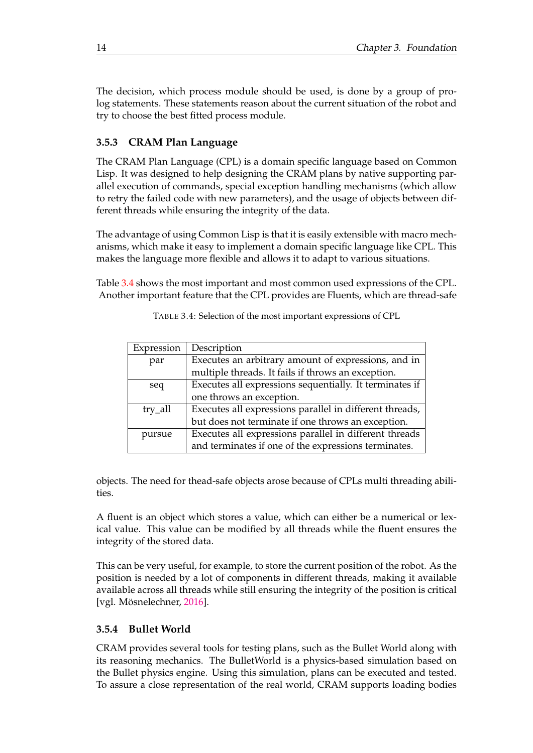The decision, which process module should be used, is done by a group of prolog statements. These statements reason about the current situation of the robot and try to choose the best fitted process module.

#### <span id="page-27-0"></span>**3.5.3 CRAM Plan Language**

The CRAM Plan Language (CPL) is a domain specific language based on Common Lisp. It was designed to help designing the CRAM plans by native supporting parallel execution of commands, special exception handling mechanisms (which allow to retry the failed code with new parameters), and the usage of objects between different threads while ensuring the integrity of the data.

The advantage of using Common Lisp is that it is easily extensible with macro mechanisms, which make it easy to implement a domain specific language like CPL. This makes the language more flexible and allows it to adapt to various situations.

<span id="page-27-2"></span>Table [3.4](#page-27-2) shows the most important and most common used expressions of the CPL. Another important feature that the CPL provides are Fluents, which are thread-safe

| Expression | Description                                             |
|------------|---------------------------------------------------------|
| par        | Executes an arbitrary amount of expressions, and in     |
|            | multiple threads. It fails if throws an exception.      |
| seq        | Executes all expressions sequentially. It terminates if |
|            | one throws an exception.                                |
| try_all    | Executes all expressions parallel in different threads, |
|            | but does not terminate if one throws an exception.      |
| pursue     | Executes all expressions parallel in different threads  |
|            | and terminates if one of the expressions terminates.    |

TABLE 3.4: Selection of the most important expressions of CPL

objects. The need for thead-safe objects arose because of CPLs multi threading abilities.

A fluent is an object which stores a value, which can either be a numerical or lexical value. This value can be modified by all threads while the fluent ensures the integrity of the stored data.

This can be very useful, for example, to store the current position of the robot. As the position is needed by a lot of components in different threads, making it available available across all threads while still ensuring the integrity of the position is critical [vgl. Mösnelechner, [2016\]](#page-62-2).

#### <span id="page-27-1"></span>**3.5.4 Bullet World**

CRAM provides several tools for testing plans, such as the Bullet World along with its reasoning mechanics. The BulletWorld is a physics-based simulation based on the Bullet physics engine. Using this simulation, plans can be executed and tested. To assure a close representation of the real world, CRAM supports loading bodies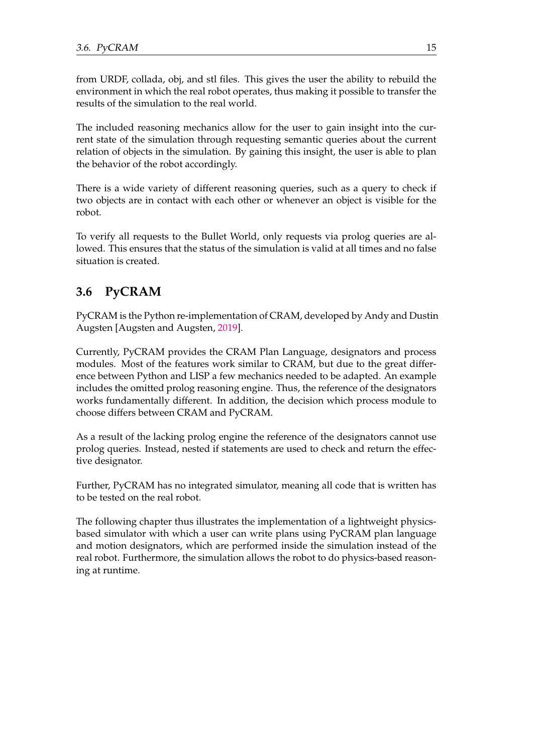from URDF, collada, obj, and stl files. This gives the user the ability to rebuild the environment in which the real robot operates, thus making it possible to transfer the results of the simulation to the real world.

The included reasoning mechanics allow for the user to gain insight into the current state of the simulation through requesting semantic queries about the current relation of objects in the simulation. By gaining this insight, the user is able to plan the behavior of the robot accordingly.

There is a wide variety of different reasoning queries, such as a query to check if two objects are in contact with each other or whenever an object is visible for the robot.

To verify all requests to the Bullet World, only requests via prolog queries are allowed. This ensures that the status of the simulation is valid at all times and no false situation is created.

# <span id="page-28-0"></span>**3.6 PyCRAM**

PyCRAM is the Python re-implementation of CRAM, developed by Andy and Dustin Augsten [Augsten and Augsten, [2019\]](#page-62-3).

Currently, PyCRAM provides the CRAM Plan Language, designators and process modules. Most of the features work similar to CRAM, but due to the great difference between Python and LISP a few mechanics needed to be adapted. An example includes the omitted prolog reasoning engine. Thus, the reference of the designators works fundamentally different. In addition, the decision which process module to choose differs between CRAM and PyCRAM.

As a result of the lacking prolog engine the reference of the designators cannot use prolog queries. Instead, nested if statements are used to check and return the effective designator.

Further, PyCRAM has no integrated simulator, meaning all code that is written has to be tested on the real robot.

The following chapter thus illustrates the implementation of a lightweight physicsbased simulator with which a user can write plans using PyCRAM plan language and motion designators, which are performed inside the simulation instead of the real robot. Furthermore, the simulation allows the robot to do physics-based reasoning at runtime.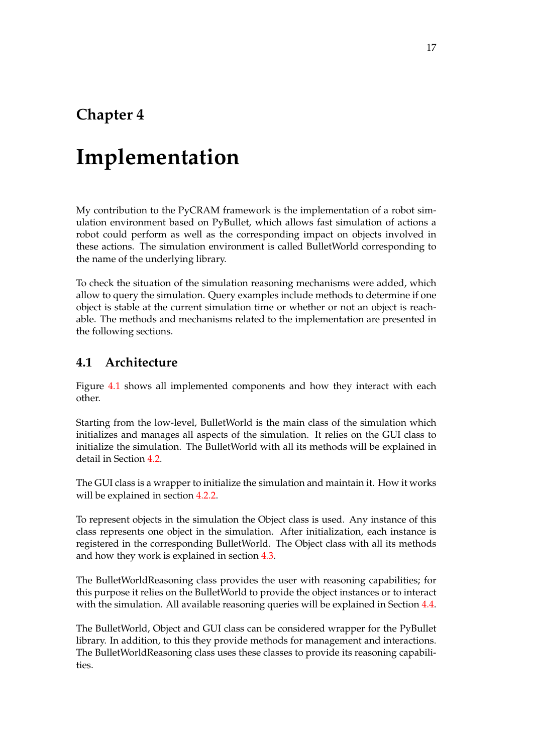# <span id="page-30-0"></span>**Chapter 4**

# **Implementation**

My contribution to the PyCRAM framework is the implementation of a robot simulation environment based on PyBullet, which allows fast simulation of actions a robot could perform as well as the corresponding impact on objects involved in these actions. The simulation environment is called BulletWorld corresponding to the name of the underlying library.

To check the situation of the simulation reasoning mechanisms were added, which allow to query the simulation. Query examples include methods to determine if one object is stable at the current simulation time or whether or not an object is reachable. The methods and mechanisms related to the implementation are presented in the following sections.

### <span id="page-30-1"></span>**4.1 Architecture**

Figure [4.1](#page-31-1) shows all implemented components and how they interact with each other.

Starting from the low-level, BulletWorld is the main class of the simulation which initializes and manages all aspects of the simulation. It relies on the GUI class to initialize the simulation. The BulletWorld with all its methods will be explained in detail in Section [4.2.](#page-31-0)

The GUI class is a wrapper to initialize the simulation and maintain it. How it works will be explained in section [4.2.2.](#page-33-1)

To represent objects in the simulation the Object class is used. Any instance of this class represents one object in the simulation. After initialization, each instance is registered in the corresponding BulletWorld. The Object class with all its methods and how they work is explained in section [4.3.](#page-35-0)

The BulletWorldReasoning class provides the user with reasoning capabilities; for this purpose it relies on the BulletWorld to provide the object instances or to interact with the simulation. All available reasoning queries will be explained in Section [4.4.](#page-39-1)

The BulletWorld, Object and GUI class can be considered wrapper for the PyBullet library. In addition, to this they provide methods for management and interactions. The BulletWorldReasoning class uses these classes to provide its reasoning capabilities.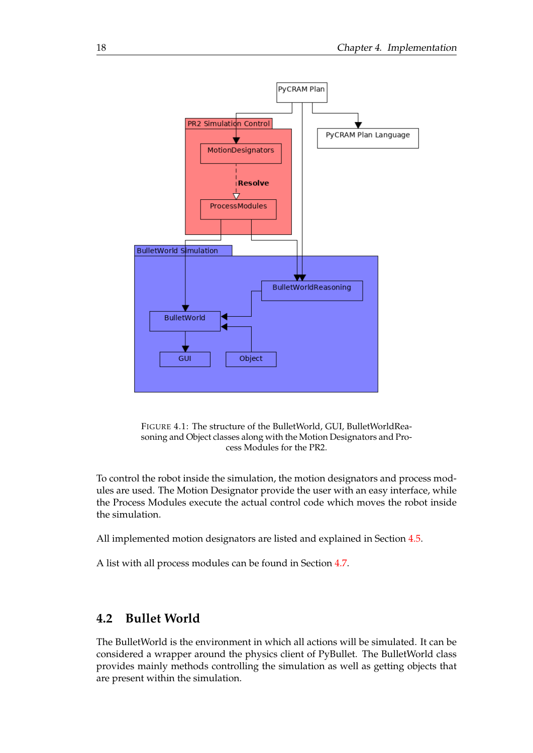<span id="page-31-1"></span>

FIGURE 4.1: The structure of the BulletWorld, GUI, BulletWorldReasoning and Object classes along with the Motion Designators and Process Modules for the PR2.

To control the robot inside the simulation, the motion designators and process modules are used. The Motion Designator provide the user with an easy interface, while the Process Modules execute the actual control code which moves the robot inside the simulation.

All implemented motion designators are listed and explained in Section [4.5.](#page-43-0)

A list with all process modules can be found in Section [4.7.](#page-47-2)

### <span id="page-31-0"></span>**4.2 Bullet World**

The BulletWorld is the environment in which all actions will be simulated. It can be considered a wrapper around the physics client of PyBullet. The BulletWorld class provides mainly methods controlling the simulation as well as getting objects that are present within the simulation.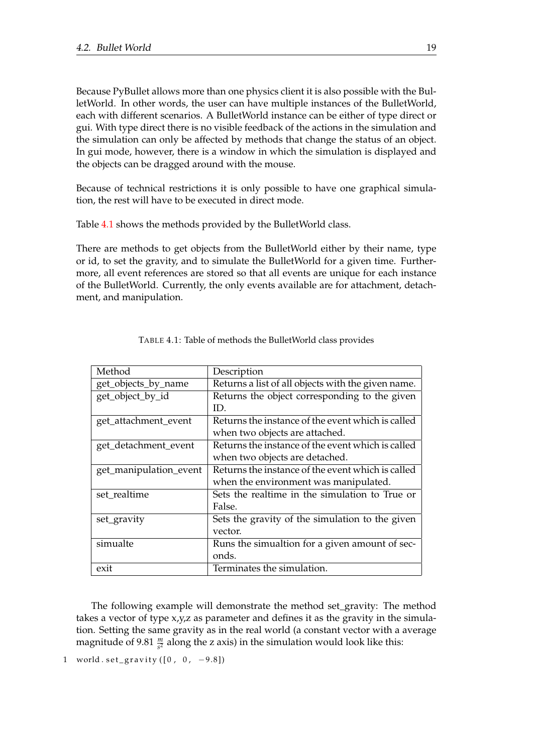Because PyBullet allows more than one physics client it is also possible with the BulletWorld. In other words, the user can have multiple instances of the BulletWorld, each with different scenarios. A BulletWorld instance can be either of type direct or gui. With type direct there is no visible feedback of the actions in the simulation and the simulation can only be affected by methods that change the status of an object. In gui mode, however, there is a window in which the simulation is displayed and the objects can be dragged around with the mouse.

Because of technical restrictions it is only possible to have one graphical simulation, the rest will have to be executed in direct mode.

Table [4.1](#page-32-0) shows the methods provided by the BulletWorld class.

There are methods to get objects from the BulletWorld either by their name, type or id, to set the gravity, and to simulate the BulletWorld for a given time. Furthermore, all event references are stored so that all events are unique for each instance of the BulletWorld. Currently, the only events available are for attachment, detachment, and manipulation.

<span id="page-32-0"></span>

| Method                 | Description                                        |
|------------------------|----------------------------------------------------|
| get_objects_by_name    | Returns a list of all objects with the given name. |
| get_object_by_id       | Returns the object corresponding to the given      |
|                        | ID.                                                |
| get_attachment_event   | Returns the instance of the event which is called  |
|                        | when two objects are attached.                     |
| get_detachment_event   | Returns the instance of the event which is called  |
|                        | when two objects are detached.                     |
| get_manipulation_event | Returns the instance of the event which is called  |
|                        | when the environment was manipulated.              |
| set_realtime           | Sets the realtime in the simulation to True or     |
|                        | False.                                             |
| set_gravity            | Sets the gravity of the simulation to the given    |
|                        | vector.                                            |
| simualte               | Runs the simualtion for a given amount of sec-     |
|                        | onds.                                              |
| exit                   | Terminates the simulation.                         |

| TABLE 4.1: Table of methods the BulletWorld class provides |  |
|------------------------------------------------------------|--|
|------------------------------------------------------------|--|

The following example will demonstrate the method set\_gravity: The method takes a vector of type x,y,z as parameter and defines it as the gravity in the simulation. Setting the same gravity as in the real world (a constant vector with a average magnitude of 9.81  $\frac{m}{s^2}$  along the z axis) in the simulation would look like this:

1 world .  $set\_gravity([0, 0, -9.8])$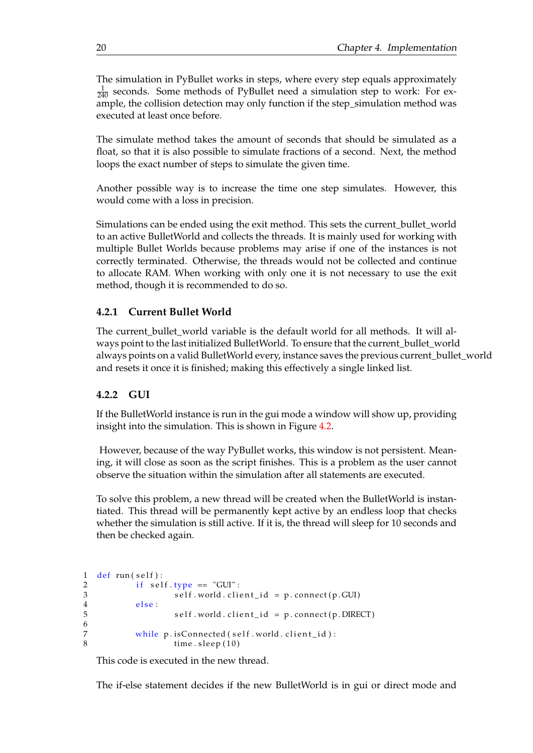The simulation in PyBullet works in steps, where every step equals approximately  $\frac{1}{240}$  seconds. Some methods of PyBullet need a simulation step to work: For example, the collision detection may only function if the step\_simulation method was executed at least once before.

The simulate method takes the amount of seconds that should be simulated as a float, so that it is also possible to simulate fractions of a second. Next, the method loops the exact number of steps to simulate the given time.

Another possible way is to increase the time one step simulates. However, this would come with a loss in precision.

Simulations can be ended using the exit method. This sets the current\_bullet\_world to an active BulletWorld and collects the threads. It is mainly used for working with multiple Bullet Worlds because problems may arise if one of the instances is not correctly terminated. Otherwise, the threads would not be collected and continue to allocate RAM. When working with only one it is not necessary to use the exit method, though it is recommended to do so.

#### <span id="page-33-0"></span>**4.2.1 Current Bullet World**

The current bullet world variable is the default world for all methods. It will always point to the last initialized BulletWorld. To ensure that the current\_bullet\_world always points on a valid BulletWorld every, instance saves the previous current\_bullet\_world and resets it once it is finished; making this effectively a single linked list.

#### <span id="page-33-1"></span>**4.2.2 GUI**

If the BulletWorld instance is run in the gui mode a window will show up, providing insight into the simulation. This is shown in Figure [4.2.](#page-34-1)

However, because of the way PyBullet works, this window is not persistent. Meaning, it will close as soon as the script finishes. This is a problem as the user cannot observe the situation within the simulation after all statements are executed.

To solve this problem, a new thread will be created when the BulletWorld is instantiated. This thread will be permanently kept active by an endless loop that checks whether the simulation is still active. If it is, the thread will sleep for 10 seconds and then be checked again.

```
1 def run (self):
2 if self.\,type = "GUI":3 self.world.client_id = p.connect(p.GUI)
\frac{4}{5} else:
                   self. world. client_id = p. connect(p.DIRECT)6
7 while p is Connected (self world . client _id ) :<br>8 \frac{10}{2}time. sleep (10)
```
This code is executed in the new thread.

The if-else statement decides if the new BulletWorld is in gui or direct mode and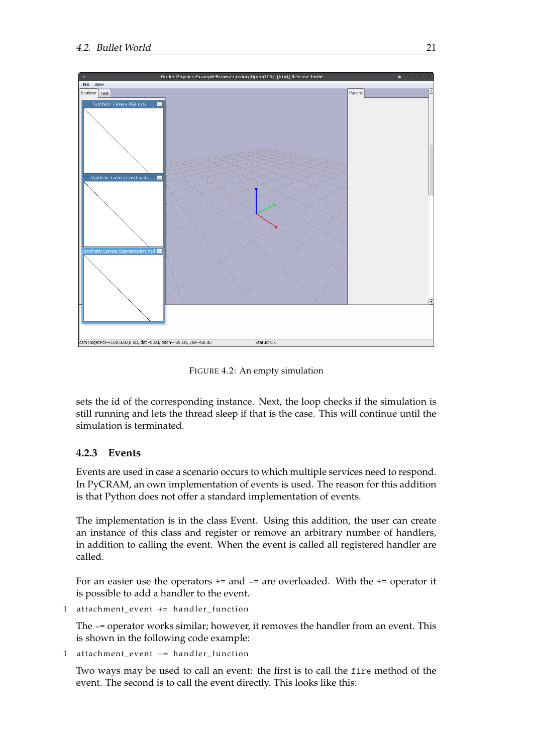<span id="page-34-1"></span>

FIGURE 4.2: An empty simulation

sets the id of the corresponding instance. Next, the loop checks if the simulation is still running and lets the thread sleep if that is the case. This will continue until the simulation is terminated.

#### <span id="page-34-0"></span>**4.2.3 Events**

Events are used in case a scenario occurs to which multiple services need to respond. In PyCRAM, an own implementation of events is used. The reason for this addition is that Python does not offer a standard implementation of events.

The implementation is in the class Event. Using this addition, the user can create an instance of this class and register or remove an arbitrary number of handlers, in addition to calling the event. When the event is called all registered handler are called.

For an easier use the operators += and -= are overloaded. With the += operator it is possible to add a handler to the event.

1 attachment\_event += handler\_function

The -= operator works similar; however, it removes the handler from an event. This is shown in the following code example:

1 attachment\_event -= handler\_function

Two ways may be used to call an event: the first is to call the fire method of the event. The second is to call the event directly. This looks like this: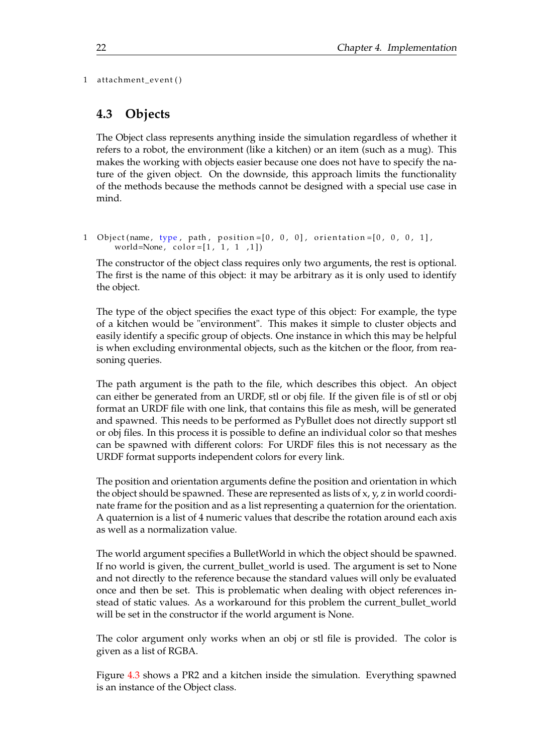1 attachment\_event()

### <span id="page-35-0"></span>**4.3 Objects**

The Object class represents anything inside the simulation regardless of whether it refers to a robot, the environment (like a kitchen) or an item (such as a mug). This makes the working with objects easier because one does not have to specify the nature of the given object. On the downside, this approach limits the functionality of the methods because the methods cannot be designed with a special use case in mind.

```
1 Object (name, type, path, position = [0, 0, 0], orientation = [0, 0, 0, 1],
      world=None, color=[1, 1, 1, 1, 1]
```
The constructor of the object class requires only two arguments, the rest is optional. The first is the name of this object: it may be arbitrary as it is only used to identify the object.

The type of the object specifies the exact type of this object: For example, the type of a kitchen would be "environment". This makes it simple to cluster objects and easily identify a specific group of objects. One instance in which this may be helpful is when excluding environmental objects, such as the kitchen or the floor, from reasoning queries.

The path argument is the path to the file, which describes this object. An object can either be generated from an URDF, stl or obj file. If the given file is of stl or obj format an URDF file with one link, that contains this file as mesh, will be generated and spawned. This needs to be performed as PyBullet does not directly support stl or obj files. In this process it is possible to define an individual color so that meshes can be spawned with different colors: For URDF files this is not necessary as the URDF format supports independent colors for every link.

The position and orientation arguments define the position and orientation in which the object should be spawned. These are represented as lists of x, y, z in world coordinate frame for the position and as a list representing a quaternion for the orientation. A quaternion is a list of 4 numeric values that describe the rotation around each axis as well as a normalization value.

The world argument specifies a BulletWorld in which the object should be spawned. If no world is given, the current\_bullet\_world is used. The argument is set to None and not directly to the reference because the standard values will only be evaluated once and then be set. This is problematic when dealing with object references instead of static values. As a workaround for this problem the current\_bullet\_world will be set in the constructor if the world argument is None.

The color argument only works when an obj or stl file is provided. The color is given as a list of RGBA.

Figure [4.3](#page-36-1) shows a PR2 and a kitchen inside the simulation. Everything spawned is an instance of the Object class.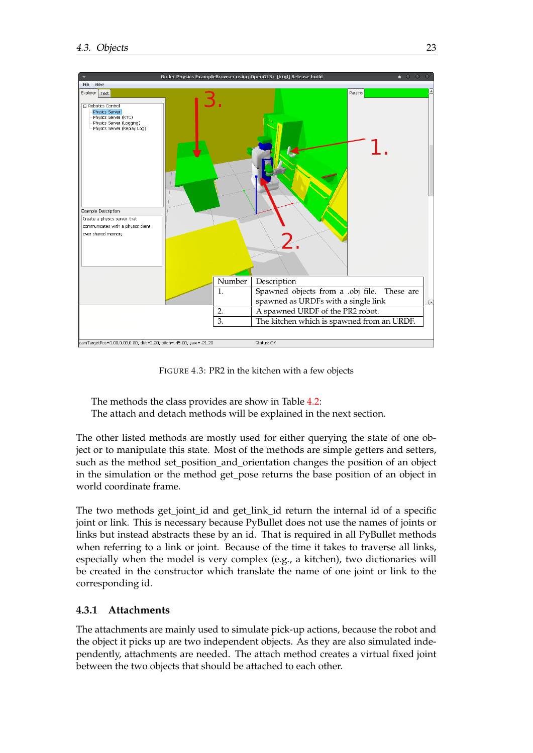<span id="page-36-1"></span>

FIGURE 4.3: PR2 in the kitchen with a few objects

The methods the class provides are show in Table [4.2:](#page-37-0)

The attach and detach methods will be explained in the next section.

The other listed methods are mostly used for either querying the state of one object or to manipulate this state. Most of the methods are simple getters and setters, such as the method set\_position\_and\_orientation changes the position of an object in the simulation or the method get\_pose returns the base position of an object in world coordinate frame.

The two methods get\_joint\_id and get\_link\_id return the internal id of a specific joint or link. This is necessary because PyBullet does not use the names of joints or links but instead abstracts these by an id. That is required in all PyBullet methods when referring to a link or joint. Because of the time it takes to traverse all links, especially when the model is very complex (e.g., a kitchen), two dictionaries will be created in the constructor which translate the name of one joint or link to the corresponding id.

#### <span id="page-36-0"></span>**4.3.1 Attachments**

The attachments are mainly used to simulate pick-up actions, because the robot and the object it picks up are two independent objects. As they are also simulated independently, attachments are needed. The attach method creates a virtual fixed joint between the two objects that should be attached to each other.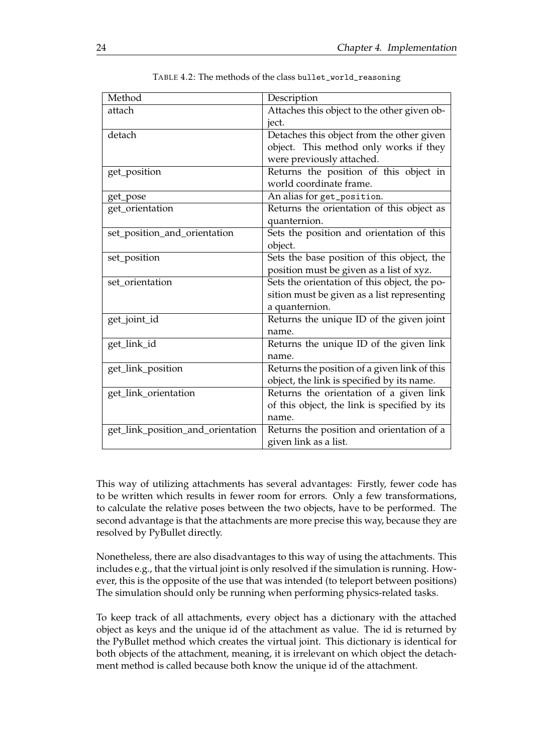<span id="page-37-0"></span>

| Method                            | Description                                  |
|-----------------------------------|----------------------------------------------|
| attach                            | Attaches this object to the other given ob-  |
|                                   | ject.                                        |
| detach                            | Detaches this object from the other given    |
|                                   | object. This method only works if they       |
|                                   | were previously attached.                    |
| get_position                      | Returns the position of this object in       |
|                                   | world coordinate frame.                      |
| get_pose                          | An alias for get_position.                   |
| get_orientation                   | Returns the orientation of this object as    |
|                                   | quanternion.                                 |
| set_position_and_orientation      | Sets the position and orientation of this    |
|                                   | object.                                      |
| set_position                      | Sets the base position of this object, the   |
|                                   | position must be given as a list of xyz.     |
| set_orientation                   | Sets the orientation of this object, the po- |
|                                   | sition must be given as a list representing  |
|                                   | a quanternion.                               |
| get_joint_id                      | Returns the unique ID of the given joint     |
|                                   | name.                                        |
| get_link_id                       | Returns the unique ID of the given link      |
|                                   | name.                                        |
| get_link_position                 | Returns the position of a given link of this |
|                                   | object, the link is specified by its name.   |
| get_link_orientation              | Returns the orientation of a given link      |
|                                   | of this object, the link is specified by its |
|                                   | name.                                        |
| get_link_position_and_orientation | Returns the position and orientation of a    |
|                                   | given link as a list.                        |

TABLE 4.2: The methods of the class bullet\_world\_reasoning

This way of utilizing attachments has several advantages: Firstly, fewer code has to be written which results in fewer room for errors. Only a few transformations, to calculate the relative poses between the two objects, have to be performed. The second advantage is that the attachments are more precise this way, because they are resolved by PyBullet directly.

Nonetheless, there are also disadvantages to this way of using the attachments. This includes e.g., that the virtual joint is only resolved if the simulation is running. However, this is the opposite of the use that was intended (to teleport between positions) The simulation should only be running when performing physics-related tasks.

To keep track of all attachments, every object has a dictionary with the attached object as keys and the unique id of the attachment as value. The id is returned by the PyBullet method which creates the virtual joint. This dictionary is identical for both objects of the attachment, meaning, it is irrelevant on which object the detachment method is called because both know the unique id of the attachment.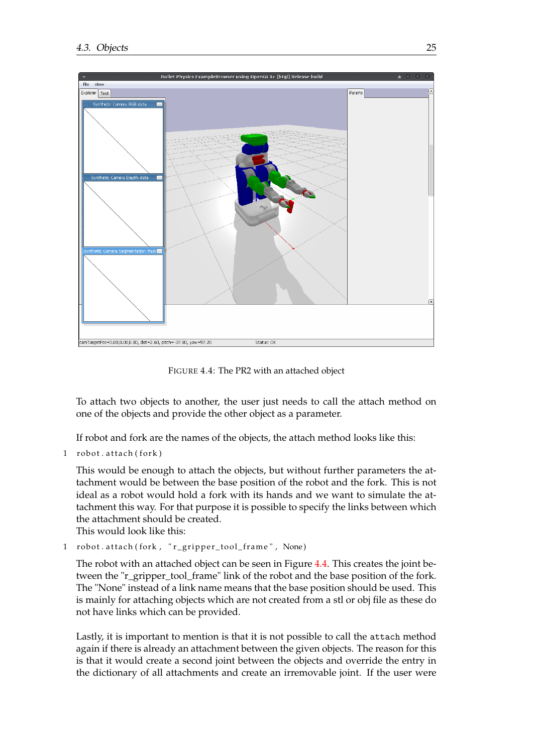<span id="page-38-0"></span>

FIGURE 4.4: The PR2 with an attached object

To attach two objects to another, the user just needs to call the attach method on one of the objects and provide the other object as a parameter.

If robot and fork are the names of the objects, the attach method looks like this:

1 robot. attach (fork)

This would be enough to attach the objects, but without further parameters the attachment would be between the base position of the robot and the fork. This is not ideal as a robot would hold a fork with its hands and we want to simulate the attachment this way. For that purpose it is possible to specify the links between which the attachment should be created.

This would look like this:

1 robot. attach (fork, "r\_gripper\_tool\_frame", None)

The robot with an attached object can be seen in Figure [4.4.](#page-38-0) This creates the joint between the "r\_gripper\_tool\_frame" link of the robot and the base position of the fork. The "None" instead of a link name means that the base position should be used. This is mainly for attaching objects which are not created from a stl or obj file as these do not have links which can be provided.

Lastly, it is important to mention is that it is not possible to call the attach method again if there is already an attachment between the given objects. The reason for this is that it would create a second joint between the objects and override the entry in the dictionary of all attachments and create an irremovable joint. If the user were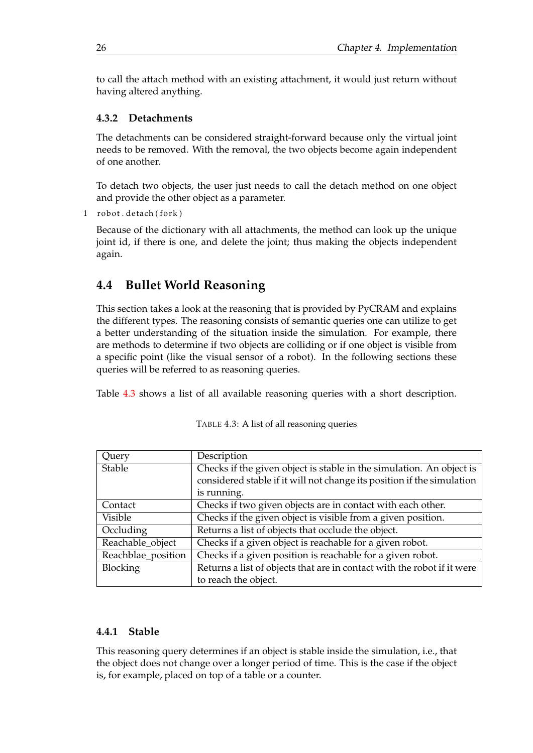to call the attach method with an existing attachment, it would just return without having altered anything.

#### <span id="page-39-0"></span>**4.3.2 Detachments**

The detachments can be considered straight-forward because only the virtual joint needs to be removed. With the removal, the two objects become again independent of one another.

To detach two objects, the user just needs to call the detach method on one object and provide the other object as a parameter.

```
1 robot. detach (fork)
```
Because of the dictionary with all attachments, the method can look up the unique joint id, if there is one, and delete the joint; thus making the objects independent again.

### <span id="page-39-1"></span>**4.4 Bullet World Reasoning**

This section takes a look at the reasoning that is provided by PyCRAM and explains the different types. The reasoning consists of semantic queries one can utilize to get a better understanding of the situation inside the simulation. For example, there are methods to determine if two objects are colliding or if one object is visible from a specific point (like the visual sensor of a robot). In the following sections these queries will be referred to as reasoning queries.

<span id="page-39-3"></span>Table [4.3](#page-39-3) shows a list of all available reasoning queries with a short description.

| Query              | Description                                                             |
|--------------------|-------------------------------------------------------------------------|
| Stable             | Checks if the given object is stable in the simulation. An object is    |
|                    | considered stable if it will not change its position if the simulation  |
|                    | is running.                                                             |
| Contact            | Checks if two given objects are in contact with each other.             |
| <b>Visible</b>     | Checks if the given object is visible from a given position.            |
| Occluding          | Returns a list of objects that occlude the object.                      |
| Reachable_object   | Checks if a given object is reachable for a given robot.                |
| Reachblae_position | Checks if a given position is reachable for a given robot.              |
| Blocking           | Returns a list of objects that are in contact with the robot if it were |
|                    | to reach the object.                                                    |

TABLE 4.3: A list of all reasoning queries

#### <span id="page-39-2"></span>**4.4.1 Stable**

This reasoning query determines if an object is stable inside the simulation, i.e., that the object does not change over a longer period of time. This is the case if the object is, for example, placed on top of a table or a counter.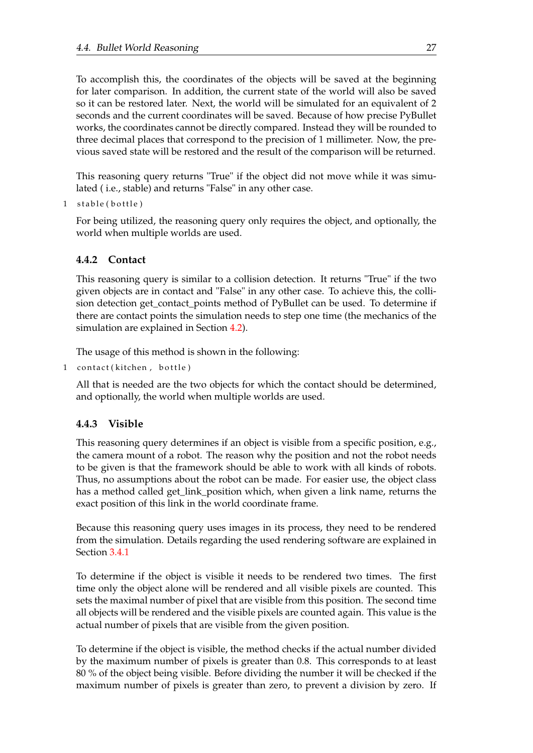To accomplish this, the coordinates of the objects will be saved at the beginning for later comparison. In addition, the current state of the world will also be saved so it can be restored later. Next, the world will be simulated for an equivalent of 2 seconds and the current coordinates will be saved. Because of how precise PyBullet works, the coordinates cannot be directly compared. Instead they will be rounded to three decimal places that correspond to the precision of 1 millimeter. Now, the previous saved state will be restored and the result of the comparison will be returned.

This reasoning query returns "True" if the object did not move while it was simulated ( i.e., stable) and returns "False" in any other case.

1 stable (bottle)

For being utilized, the reasoning query only requires the object, and optionally, the world when multiple worlds are used.

#### <span id="page-40-0"></span>**4.4.2 Contact**

This reasoning query is similar to a collision detection. It returns "True" if the two given objects are in contact and "False" in any other case. To achieve this, the collision detection get contact points method of PyBullet can be used. To determine if there are contact points the simulation needs to step one time (the mechanics of the simulation are explained in Section [4.2\)](#page-31-0).

The usage of this method is shown in the following:

```
1 contact (kitchen, bottle)
```
All that is needed are the two objects for which the contact should be determined, and optionally, the world when multiple worlds are used.

#### <span id="page-40-1"></span>**4.4.3 Visible**

This reasoning query determines if an object is visible from a specific position, e.g., the camera mount of a robot. The reason why the position and not the robot needs to be given is that the framework should be able to work with all kinds of robots. Thus, no assumptions about the robot can be made. For easier use, the object class has a method called get\_link\_position which, when given a link name, returns the exact position of this link in the world coordinate frame.

Because this reasoning query uses images in its process, they need to be rendered from the simulation. Details regarding the used rendering software are explained in Section [3.4.1](#page-24-0)

To determine if the object is visible it needs to be rendered two times. The first time only the object alone will be rendered and all visible pixels are counted. This sets the maximal number of pixel that are visible from this position. The second time all objects will be rendered and the visible pixels are counted again. This value is the actual number of pixels that are visible from the given position.

To determine if the object is visible, the method checks if the actual number divided by the maximum number of pixels is greater than 0.8. This corresponds to at least 80 % of the object being visible. Before dividing the number it will be checked if the maximum number of pixels is greater than zero, to prevent a division by zero. If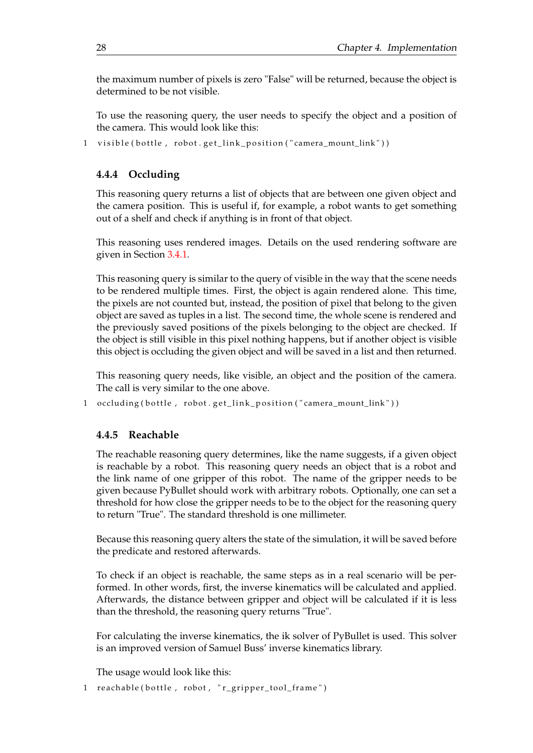the maximum number of pixels is zero "False" will be returned, because the object is determined to be not visible.

To use the reasoning query, the user needs to specify the object and a position of the camera. This would look like this:

1 visible (bottle, robot.get\_link\_position ("camera\_mount\_link"))

#### <span id="page-41-0"></span>**4.4.4 Occluding**

This reasoning query returns a list of objects that are between one given object and the camera position. This is useful if, for example, a robot wants to get something out of a shelf and check if anything is in front of that object.

This reasoning uses rendered images. Details on the used rendering software are given in Section [3.4.1.](#page-24-0)

This reasoning query is similar to the query of visible in the way that the scene needs to be rendered multiple times. First, the object is again rendered alone. This time, the pixels are not counted but, instead, the position of pixel that belong to the given object are saved as tuples in a list. The second time, the whole scene is rendered and the previously saved positions of the pixels belonging to the object are checked. If the object is still visible in this pixel nothing happens, but if another object is visible this object is occluding the given object and will be saved in a list and then returned.

This reasoning query needs, like visible, an object and the position of the camera. The call is very similar to the one above.

1 occluding (bottle, robot.get\_link\_position ("camera\_mount\_link"))

#### <span id="page-41-1"></span>**4.4.5 Reachable**

The reachable reasoning query determines, like the name suggests, if a given object is reachable by a robot. This reasoning query needs an object that is a robot and the link name of one gripper of this robot. The name of the gripper needs to be given because PyBullet should work with arbitrary robots. Optionally, one can set a threshold for how close the gripper needs to be to the object for the reasoning query to return "True". The standard threshold is one millimeter.

Because this reasoning query alters the state of the simulation, it will be saved before the predicate and restored afterwards.

To check if an object is reachable, the same steps as in a real scenario will be performed. In other words, first, the inverse kinematics will be calculated and applied. Afterwards, the distance between gripper and object will be calculated if it is less than the threshold, the reasoning query returns "True".

For calculating the inverse kinematics, the ik solver of PyBullet is used. This solver is an improved version of Samuel Buss' inverse kinematics library.

The usage would look like this:

1 reachable (bottle, robot, "r\_gripper\_tool\_frame")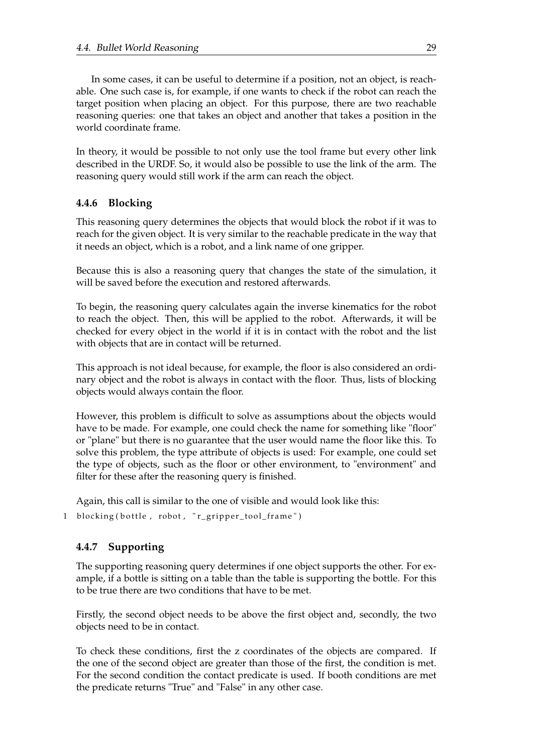In some cases, it can be useful to determine if a position, not an object, is reachable. One such case is, for example, if one wants to check if the robot can reach the target position when placing an object. For this purpose, there are two reachable reasoning queries: one that takes an object and another that takes a position in the world coordinate frame.

In theory, it would be possible to not only use the tool frame but every other link described in the URDF. So, it would also be possible to use the link of the arm. The reasoning query would still work if the arm can reach the object.

#### <span id="page-42-0"></span>**4.4.6 Blocking**

This reasoning query determines the objects that would block the robot if it was to reach for the given object. It is very similar to the reachable predicate in the way that it needs an object, which is a robot, and a link name of one gripper.

Because this is also a reasoning query that changes the state of the simulation, it will be saved before the execution and restored afterwards.

To begin, the reasoning query calculates again the inverse kinematics for the robot to reach the object. Then, this will be applied to the robot. Afterwards, it will be checked for every object in the world if it is in contact with the robot and the list with objects that are in contact will be returned.

This approach is not ideal because, for example, the floor is also considered an ordinary object and the robot is always in contact with the floor. Thus, lists of blocking objects would always contain the floor.

However, this problem is difficult to solve as assumptions about the objects would have to be made. For example, one could check the name for something like "floor" or "plane" but there is no guarantee that the user would name the floor like this. To solve this problem, the type attribute of objects is used: For example, one could set the type of objects, such as the floor or other environment, to "environment" and filter for these after the reasoning query is finished.

Again, this call is similar to the one of visible and would look like this:

1 blocking (bottle, robot, " $r$  gripper tool frame")

#### <span id="page-42-1"></span>**4.4.7 Supporting**

The supporting reasoning query determines if one object supports the other. For example, if a bottle is sitting on a table than the table is supporting the bottle. For this to be true there are two conditions that have to be met.

Firstly, the second object needs to be above the first object and, secondly, the two objects need to be in contact.

To check these conditions, first the z coordinates of the objects are compared. If the one of the second object are greater than those of the first, the condition is met. For the second condition the contact predicate is used. If booth conditions are met the predicate returns "True" and "False" in any other case.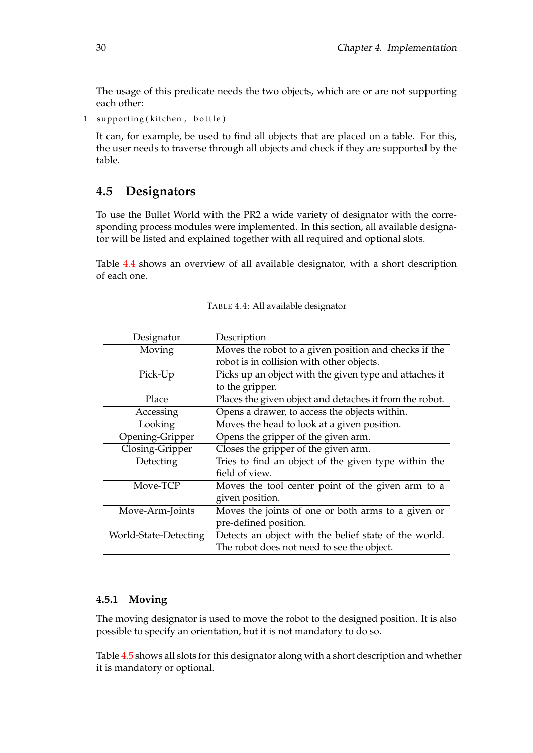The usage of this predicate needs the two objects, which are or are not supporting each other:

1 supporting (kitchen, bottle)

It can, for example, be used to find all objects that are placed on a table. For this, the user needs to traverse through all objects and check if they are supported by the table.

### <span id="page-43-0"></span>**4.5 Designators**

To use the Bullet World with the PR2 a wide variety of designator with the corresponding process modules were implemented. In this section, all available designator will be listed and explained together with all required and optional slots.

Table [4.4](#page-43-2) shows an overview of all available designator, with a short description of each one.

<span id="page-43-2"></span>

| Designator            | Description                                             |
|-----------------------|---------------------------------------------------------|
| Moving                | Moves the robot to a given position and checks if the   |
|                       | robot is in collision with other objects.               |
| Pick-Up               | Picks up an object with the given type and attaches it  |
|                       | to the gripper.                                         |
| Place                 | Places the given object and detaches it from the robot. |
| Accessing             | Opens a drawer, to access the objects within.           |
| Looking               | Moves the head to look at a given position.             |
| Opening-Gripper       | Opens the gripper of the given arm.                     |
| Closing-Gripper       | Closes the gripper of the given arm.                    |
| Detecting             | Tries to find an object of the given type within the    |
|                       | field of view.                                          |
| Move-TCP              | Moves the tool center point of the given arm to a       |
|                       | given position.                                         |
| Move-Arm-Joints       | Moves the joints of one or both arms to a given or      |
|                       | pre-defined position.                                   |
| World-State-Detecting | Detects an object with the belief state of the world.   |
|                       | The robot does not need to see the object.              |

TABLE 4.4: All available designator

#### <span id="page-43-1"></span>**4.5.1 Moving**

The moving designator is used to move the robot to the designed position. It is also possible to specify an orientation, but it is not mandatory to do so.

Table [4.5](#page-44-4) shows all slots for this designator along with a short description and whether it is mandatory or optional.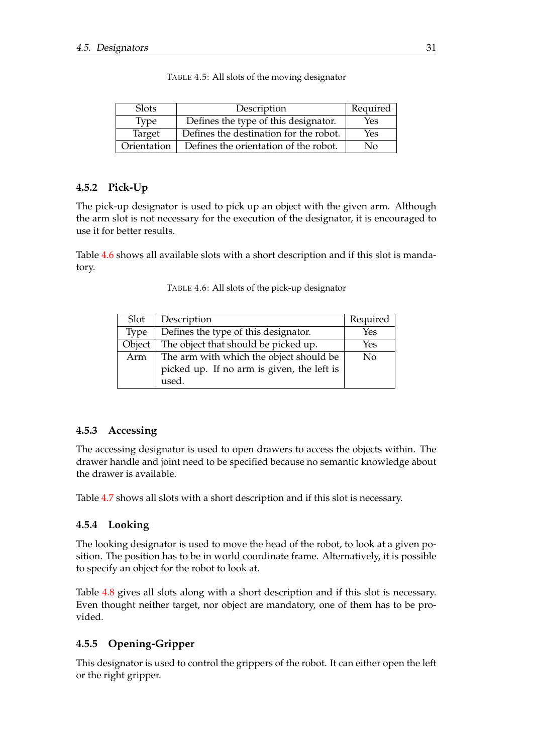<span id="page-44-4"></span>

| <b>Slots</b> | Description                            | Required |
|--------------|----------------------------------------|----------|
| <b>Type</b>  | Defines the type of this designator.   | Yes      |
| Target       | Defines the destination for the robot. | Yes      |
| Orientation  | Defines the orientation of the robot.  | Nο       |

TABLE 4.5: All slots of the moving designator

#### <span id="page-44-0"></span>**4.5.2 Pick-Up**

The pick-up designator is used to pick up an object with the given arm. Although the arm slot is not necessary for the execution of the designator, it is encouraged to use it for better results.

<span id="page-44-5"></span>Table [4.6](#page-44-5) shows all available slots with a short description and if this slot is mandatory.

| Slot        | Description                                | Required   |
|-------------|--------------------------------------------|------------|
| <b>Type</b> | Defines the type of this designator.       | <b>Yes</b> |
| Object      | The object that should be picked up.       | Yes        |
| Arm         | The arm with which the object should be    | No         |
|             | picked up. If no arm is given, the left is |            |
|             | used.                                      |            |

TABLE 4.6: All slots of the pick-up designator

#### <span id="page-44-1"></span>**4.5.3 Accessing**

The accessing designator is used to open drawers to access the objects within. The drawer handle and joint need to be specified because no semantic knowledge about the drawer is available.

Table [4.7](#page-45-2) shows all slots with a short description and if this slot is necessary.

#### <span id="page-44-2"></span>**4.5.4 Looking**

The looking designator is used to move the head of the robot, to look at a given position. The position has to be in world coordinate frame. Alternatively, it is possible to specify an object for the robot to look at.

Table [4.8](#page-45-3) gives all slots along with a short description and if this slot is necessary. Even thought neither target, nor object are mandatory, one of them has to be provided.

#### <span id="page-44-3"></span>**4.5.5 Opening-Gripper**

This designator is used to control the grippers of the robot. It can either open the left or the right gripper.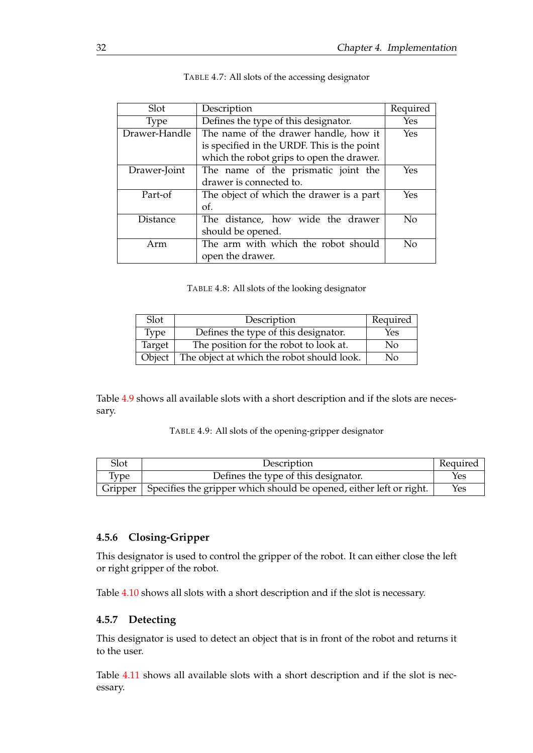<span id="page-45-2"></span>

| Slot            | Description                                 | Required |
|-----------------|---------------------------------------------|----------|
| <b>Type</b>     | Defines the type of this designator.        | Yes      |
| Drawer-Handle   | The name of the drawer handle, how it       | Yes      |
|                 | is specified in the URDF. This is the point |          |
|                 | which the robot grips to open the drawer.   |          |
| Drawer-Joint    | The name of the prismatic joint the         | Yes      |
|                 | drawer is connected to.                     |          |
| Part-of         | The object of which the drawer is a part    | Yes      |
|                 | of.                                         |          |
| <b>Distance</b> | The distance, how wide the drawer           | No       |
|                 | should be opened.                           |          |
| Arm             | The arm with which the robot should         | No       |
|                 | open the drawer.                            |          |

| TABLE 4.7: All slots of the accessing designator |  |  |
|--------------------------------------------------|--|--|
|                                                  |  |  |

TABLE 4.8: All slots of the looking designator

<span id="page-45-3"></span>

| Slot   | Description                                | Required |
|--------|--------------------------------------------|----------|
| Type   | Defines the type of this designator.       | Yes      |
| Target | The position for the robot to look at.     | No       |
| Object | The object at which the robot should look. | No       |

<span id="page-45-4"></span>Table [4.9](#page-45-4) shows all available slots with a short description and if the slots are necessary.

TABLE 4.9: All slots of the opening-gripper designator

| Slot | Description                                                                   | <sup>t</sup> Required |
|------|-------------------------------------------------------------------------------|-----------------------|
| Type | Defines the type of this designator.                                          | Yes                   |
|      | Gripper   Specifies the gripper which should be opened, either left or right. | <b>Yes</b>            |

#### <span id="page-45-0"></span>**4.5.6 Closing-Gripper**

This designator is used to control the gripper of the robot. It can either close the left or right gripper of the robot.

Table [4.10](#page-46-2) shows all slots with a short description and if the slot is necessary.

#### <span id="page-45-1"></span>**4.5.7 Detecting**

This designator is used to detect an object that is in front of the robot and returns it to the user.

Table [4.11](#page-46-3) shows all available slots with a short description and if the slot is necessary.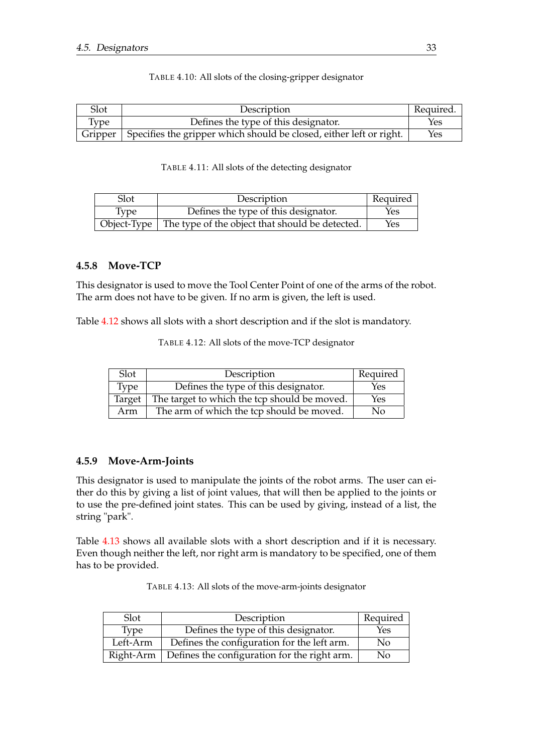<span id="page-46-2"></span>

| Slot | Description                                                                   | Required. |
|------|-------------------------------------------------------------------------------|-----------|
| Type | Defines the type of this designator.                                          | Yes       |
|      | Gripper   Specifies the gripper which should be closed, either left or right. | Yes       |

#### TABLE 4.10: All slots of the closing-gripper designator

#### TABLE 4.11: All slots of the detecting designator

<span id="page-46-3"></span>

| Slot | Description                                                   | Required |
|------|---------------------------------------------------------------|----------|
| Type | Defines the type of this designator.                          | Yes      |
|      | Object-Type   The type of the object that should be detected. | Yes      |

#### <span id="page-46-0"></span>**4.5.8 Move-TCP**

This designator is used to move the Tool Center Point of one of the arms of the robot. The arm does not have to be given. If no arm is given, the left is used.

<span id="page-46-4"></span>Table [4.12](#page-46-4) shows all slots with a short description and if the slot is mandatory.

TABLE 4.12: All slots of the move-TCP designator

| Slot.  | Description                                  | Required |
|--------|----------------------------------------------|----------|
| Type   | Defines the type of this designator.         | Yes      |
| Target | The target to which the tcp should be moved. | Yes      |
| Arm    | The arm of which the tcp should be moved.    | Nο       |

#### <span id="page-46-1"></span>**4.5.9 Move-Arm-Joints**

This designator is used to manipulate the joints of the robot arms. The user can either do this by giving a list of joint values, that will then be applied to the joints or to use the pre-defined joint states. This can be used by giving, instead of a list, the string "park".

<span id="page-46-5"></span>Table [4.13](#page-46-5) shows all available slots with a short description and if it is necessary. Even though neither the left, nor right arm is mandatory to be specified, one of them has to be provided.

|  |  |  | TABLE 4.13: All slots of the move-arm-joints designator |  |
|--|--|--|---------------------------------------------------------|--|
|--|--|--|---------------------------------------------------------|--|

| Slot        | Description                                  | Required |
|-------------|----------------------------------------------|----------|
| Type        | Defines the type of this designator.         | Yes      |
| Left-Arm    | Defines the configuration for the left arm.  | No       |
| $Right-Arm$ | Defines the configuration for the right arm. | No       |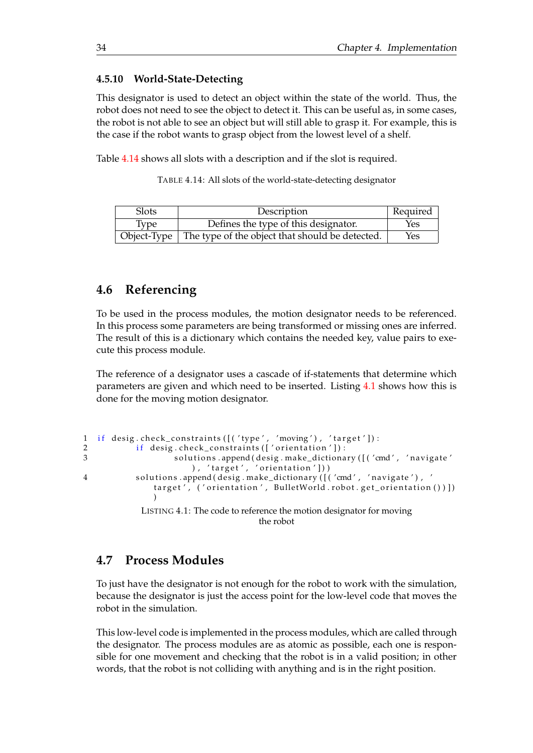#### <span id="page-47-0"></span>**4.5.10 World-State-Detecting**

This designator is used to detect an object within the state of the world. Thus, the robot does not need to see the object to detect it. This can be useful as, in some cases, the robot is not able to see an object but will still able to grasp it. For example, this is the case if the robot wants to grasp object from the lowest level of a shelf.

<span id="page-47-3"></span>Table [4.14](#page-47-3) shows all slots with a description and if the slot is required.

TABLE 4.14: All slots of the world-state-detecting designator

| <b>Slots</b> | Description                                                         | Required |
|--------------|---------------------------------------------------------------------|----------|
| <b>Type</b>  | Defines the type of this designator.                                | Yes      |
|              | Object-Type $\vert$ The type of the object that should be detected. | Yes      |

### <span id="page-47-1"></span>**4.6 Referencing**

To be used in the process modules, the motion designator needs to be referenced. In this process some parameters are being transformed or missing ones are inferred. The result of this is a dictionary which contains the needed key, value pairs to execute this process module.

The reference of a designator uses a cascade of if-statements that determine which parameters are given and which need to be inserted. Listing [4.1](#page-47-4) shows how this is done for the moving motion designator.

```
1 if desig.check_constraints ([('type', 'moving'), 'target']):
2 if desig.check_constraints (['orientation']):
3 solutions.append (desig.make_dictionary ([('cmd', 'navigate'
                      ), 'target', 'orientation']))
4 solutions .append ( desig . make_dictionary ([('cmd', 'navigate'), '
              target', ('orientation', BulletWorld.robot.get_orientation())])
              )
           LISTING 4.1: The code to reference the motion designator for moving
                                   the robot
```
### <span id="page-47-2"></span>**4.7 Process Modules**

To just have the designator is not enough for the robot to work with the simulation, because the designator is just the access point for the low-level code that moves the robot in the simulation.

This low-level code is implemented in the process modules, which are called through the designator. The process modules are as atomic as possible, each one is responsible for one movement and checking that the robot is in a valid position; in other words, that the robot is not colliding with anything and is in the right position.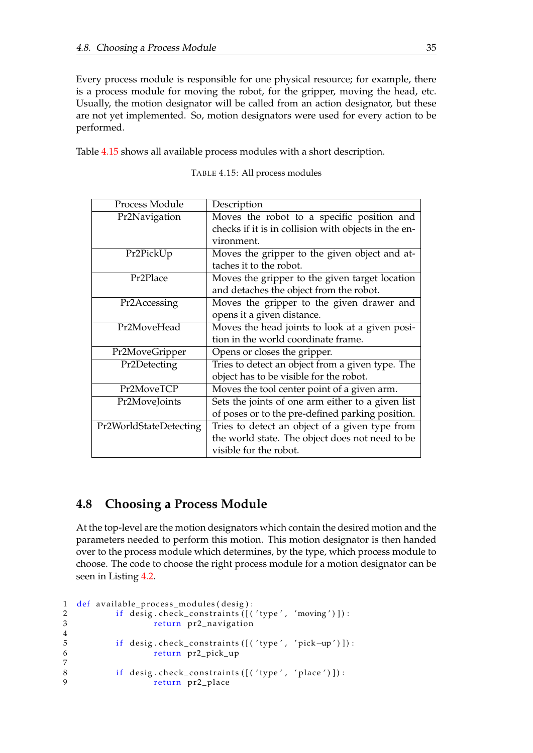Every process module is responsible for one physical resource; for example, there is a process module for moving the robot, for the gripper, moving the head, etc. Usually, the motion designator will be called from an action designator, but these are not yet implemented. So, motion designators were used for every action to be performed.

<span id="page-48-1"></span>Table [4.15](#page-48-1) shows all available process modules with a short description.

| Process Module         | Description                                          |
|------------------------|------------------------------------------------------|
| Pr2Navigation          | Moves the robot to a specific position and           |
|                        | checks if it is in collision with objects in the en- |
|                        | vironment.                                           |
| Pr2PickUp              | Moves the gripper to the given object and at-        |
|                        | taches it to the robot.                              |
| Pr <sub>2</sub> Place  | Moves the gripper to the given target location       |
|                        | and detaches the object from the robot.              |
| Pr2Accessing           | Moves the gripper to the given drawer and            |
|                        | opens it a given distance.                           |
| Pr2MoveHead            | Moves the head joints to look at a given posi-       |
|                        | tion in the world coordinate frame.                  |
| Pr2MoveGripper         | Opens or closes the gripper.                         |
| Pr2Detecting           | Tries to detect an object from a given type. The     |
|                        | object has to be visible for the robot.              |
| Pr2MoveTCP             | Moves the tool center point of a given arm.          |
| Pr2MoveJoints          | Sets the joints of one arm either to a given list    |
|                        | of poses or to the pre-defined parking position.     |
| Pr2WorldStateDetecting | Tries to detect an object of a given type from       |
|                        | the world state. The object does not need to be      |
|                        | visible for the robot.                               |

TABLE 4.15: All process modules

## <span id="page-48-0"></span>**4.8 Choosing a Process Module**

At the top-level are the motion designators which contain the desired motion and the parameters needed to perform this motion. This motion designator is then handed over to the process module which determines, by the type, which process module to choose. The code to choose the right process module for a motion designator can be seen in Listing [4.2.](#page-48-2)

```
1 def available_process_modules (desig):
2 if desig.check_constraints ([('type', 'moving')]):
3 return pr2_navigation
4
5 if desig.check_constraints ([('type', 'pick-up')]):
6 return pr2_pick_up
7
8 if desig.check_constraints ([('type', 'place')]):
9 return pr2_place
```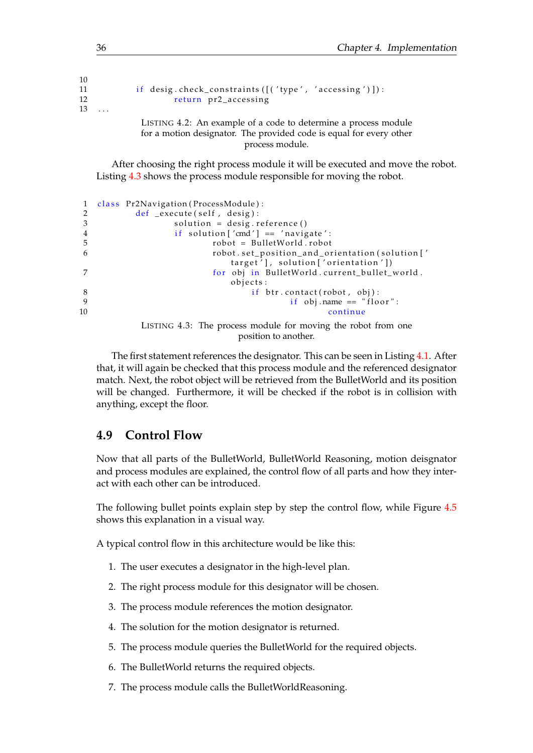| 1v             |                                                                     |
|----------------|---------------------------------------------------------------------|
| 11             | if desig.check_constraints([('type', 'accessing')]):                |
| 12             | return pr2_accessing                                                |
| 13<br>$\cdots$ |                                                                     |
|                | LISTING 4.2: An example of a code to determine a process module     |
|                | for a motion designator. The provided code is equal for every other |

process module.

After choosing the right process module it will be executed and move the robot. Listing [4.3](#page-49-1) shows the process module responsible for moving the robot.

```
1 class Pr2Navigation (ProcessModule):
2 \text{ def }_{\text{ex}} execute (self, desig):<br>3 solution = desig.r
                solution = design. reference()4 if solution \lceil \text{'}cmd' \rceil = 'navigate':5 robot = BulletWorld.robot
6 robot set_position_and_orientation(solution['
                          target'], solution ['orientation'])
7 for obj in BulletWorld . current_bullet_world .
                          objects:
8 if btr.contact(robot, obj):<br>9 if obj name - "flo
                                     if obj.name == "floor":
10 continue
```

```
LISTING 4.3: The process module for moving the robot from one
                      position to another.
```
The first statement references the designator. This can be seen in Listing [4.1.](#page-47-4) After that, it will again be checked that this process module and the referenced designator match. Next, the robot object will be retrieved from the BulletWorld and its position will be changed. Furthermore, it will be checked if the robot is in collision with anything, except the floor.

### <span id="page-49-0"></span>**4.9 Control Flow**

Now that all parts of the BulletWorld, BulletWorld Reasoning, motion deisgnator and process modules are explained, the control flow of all parts and how they interact with each other can be introduced.

The following bullet points explain step by step the control flow, while Figure [4.5](#page-50-0) shows this explanation in a visual way.

A typical control flow in this architecture would be like this:

- 1. The user executes a designator in the high-level plan.
- 2. The right process module for this designator will be chosen.
- 3. The process module references the motion designator.
- 4. The solution for the motion designator is returned.
- 5. The process module queries the BulletWorld for the required objects.
- 6. The BulletWorld returns the required objects.
- 7. The process module calls the BulletWorldReasoning.

 $1<sub>0</sub>$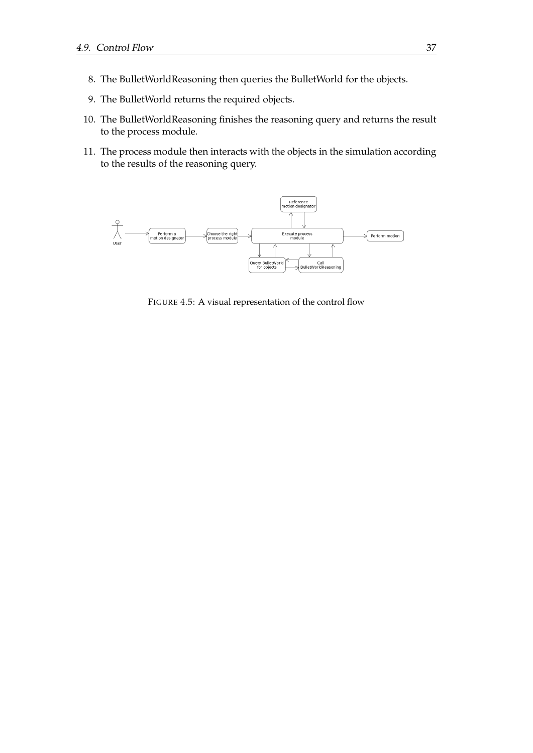- 8. The BulletWorldReasoning then queries the BulletWorld for the objects.
- 9. The BulletWorld returns the required objects.
- 10. The BulletWorldReasoning finishes the reasoning query and returns the result to the process module.
- 11. The process module then interacts with the objects in the simulation according to the results of the reasoning query.

<span id="page-50-0"></span>

FIGURE 4.5: A visual representation of the control flow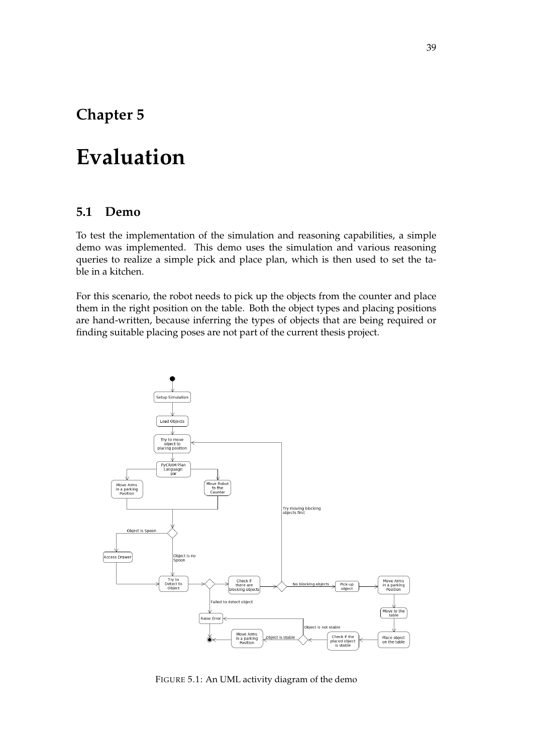# <span id="page-52-0"></span>**Chapter 5**

# **Evaluation**

#### <span id="page-52-1"></span>**5.1 Demo**

To test the implementation of the simulation and reasoning capabilities, a simple demo was implemented. This demo uses the simulation and various reasoning queries to realize a simple pick and place plan, which is then used to set the table in a kitchen.

For this scenario, the robot needs to pick up the objects from the counter and place them in the right position on the table. Both the object types and placing positions are hand-written, because inferring the types of objects that are being required or finding suitable placing poses are not part of the current thesis project.

<span id="page-52-2"></span>

FIGURE 5.1: An UML activity diagram of the demo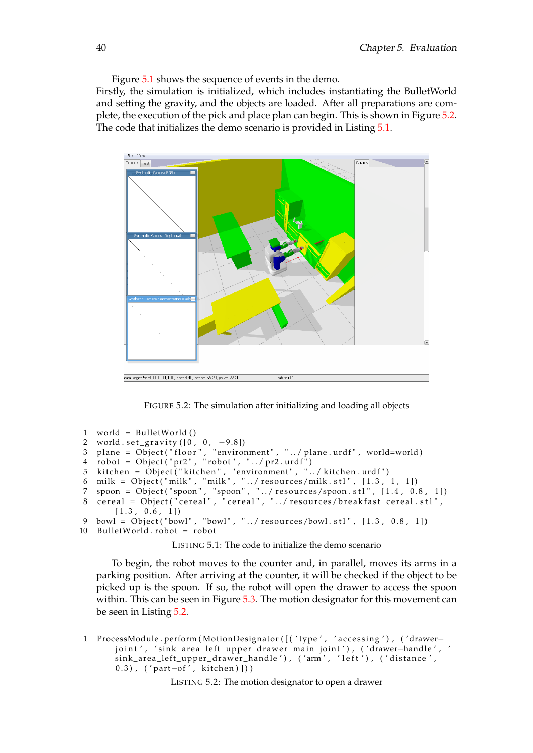Figure [5.1](#page-52-2) shows the sequence of events in the demo.

Firstly, the simulation is initialized, which includes instantiating the BulletWorld and setting the gravity, and the objects are loaded. After all preparations are complete, the execution of the pick and place plan can begin. This is shown in Figure [5.2.](#page-53-0) The code that initializes the demo scenario is provided in Listing [5.1.](#page-53-1)

<span id="page-53-0"></span>

FIGURE 5.2: The simulation after initializing and loading all objects

```
1 world = Bulle tWorld ( )
 2 world . set_gravity([0, 0, −9.8])
 3 plane = Object("floor", "environment", "../plane.urdf", world=world)
 4   robot = Object("pr2", "robot", "../pr2.urdf")
 5 kitchen = Object("kitchen", "environment", "../kitchen.urdf")
 6 milk = Object("milk", "milk", "../resources/milk.stl", [1.3, 1, 1])
 7 spoon = Object("spoon" , "spoon" , "../resources/spoon.stl" , [1.4 , 0.8 , 1])
 8 cereal = Object("cereal", "cereal", "../resources/breakfast_cereal.stl",
       [1.3, 0.6, 1]9 bowl = Object ("bowl", "bowl", "../ resources/bowl.stl", [1.3, 0.8, 1])
10 BulletWorld.robot = robot
```
LISTING 5.1: The code to initialize the demo scenario

To begin, the robot moves to the counter and, in parallel, moves its arms in a parking position. After arriving at the counter, it will be checked if the object to be picked up is the spoon. If so, the robot will open the drawer to access the spoon within. This can be seen in Figure [5.3.](#page-54-0) The motion designator for this movement can be seen in Listing [5.2.](#page-53-2)

<span id="page-53-2"></span>1 ProcessModule . perform (MotionDesignator ([('type', 'accessing'), ('drawer− joint', 'sink\_area\_left\_upper\_drawer\_main\_joint'), ('drawer-handle', ' sink\_area\_left\_upper\_drawer\_handle'), ('arm', 'left'), ('distance', 0.3), ('part-of', kitchen)]))

LISTING 5.2: The motion designator to open a drawer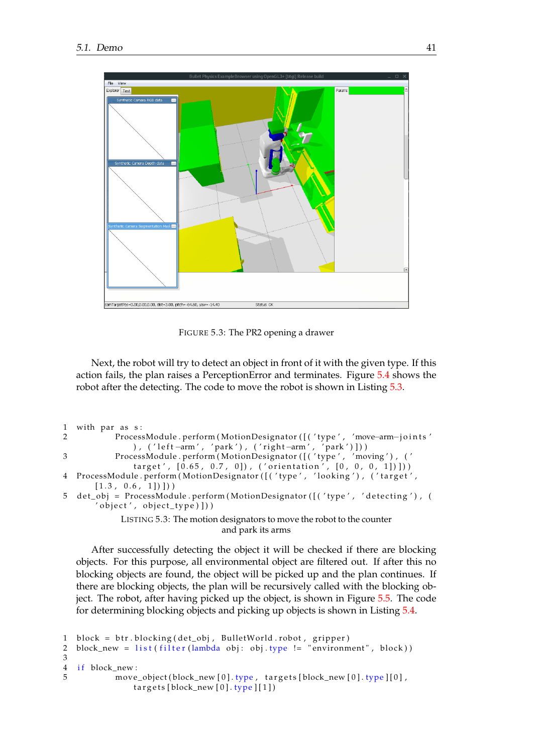<span id="page-54-0"></span>

FIGURE 5.3: The PR2 opening a drawer

Next, the robot will try to detect an object in front of it with the given type. If this action fails, the plan raises a PerceptionError and terminates. Figure [5.4](#page-55-0) shows the robot after the detecting. The code to move the robot is shown in Listing [5.3.](#page-54-1)

```
1 with par as s:
2 ProcessModule . perform ( MotionDesignator ([('type', 'move-arm-joints'
               ), ('left-arm', 'park'), ('right-arm', 'park')]))
3 ProcessModule . perform (MotionDesignator ([('type', 'moving'), ('
               target', [0.65, 0.7, 0]), ('orientation', [0, 0, 0, 1]))
4 ProcessModule.perform (MotionDesignator ([('type', 'looking'), ('target',
       [1.3, 0.6, 1]])
5 det_obj = ProcessModule . perform (MotionDesignator ([( ' type', ' determine '') , (' object', object_type) ]))
            LISTING 5.3: The motion designators to move the robot to the counter
                                  and park its arms
```
After successfully detecting the object it will be checked if there are blocking objects. For this purpose, all environmental object are filtered out. If after this no blocking objects are found, the object will be picked up and the plan continues. If there are blocking objects, the plan will be recursively called with the blocking object. The robot, after having picked up the object, is shown in Figure [5.5.](#page-55-1) The code for determining blocking objects and picking up objects is shown in Listing [5.4.](#page-54-2)

```
1 block = btr.blocking (det_obj, BulletWorld.robot, gripper)
2 block_new = list (filter (lambda obj: obj.type != "environment", block))
3
4 if block_new:
5 move_object (block_new [0]. type, targets [block_new [0]. type ][0],
              targets [block_new[0].type][1])
```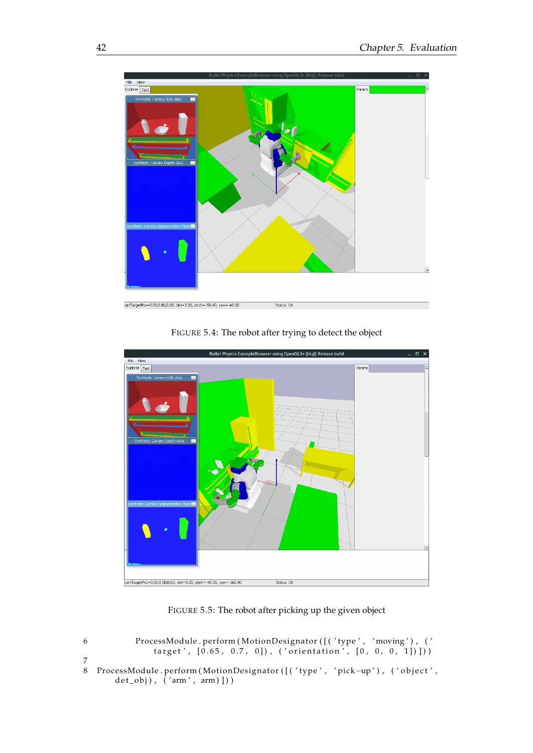<span id="page-55-0"></span>

FIGURE 5.4: The robot after trying to detect the object

<span id="page-55-1"></span>

FIGURE 5.5: The robot after picking up the given object

| 6 | ProcessModule.perform(MotionDesignator([('type', 'moving'), (' |
|---|----------------------------------------------------------------|
|   | target', $[0.65, 0.7, 0]$ , ('orientation', $[0, 0, 0, 1]$ ))  |
|   |                                                                |

8 ProcessModule . perform ( MotionDesignator ([( ' type ' , ' pick−up ' ) , ( ' object ' ,  $det\_obj)$ ,  $('arm', arm)]$ )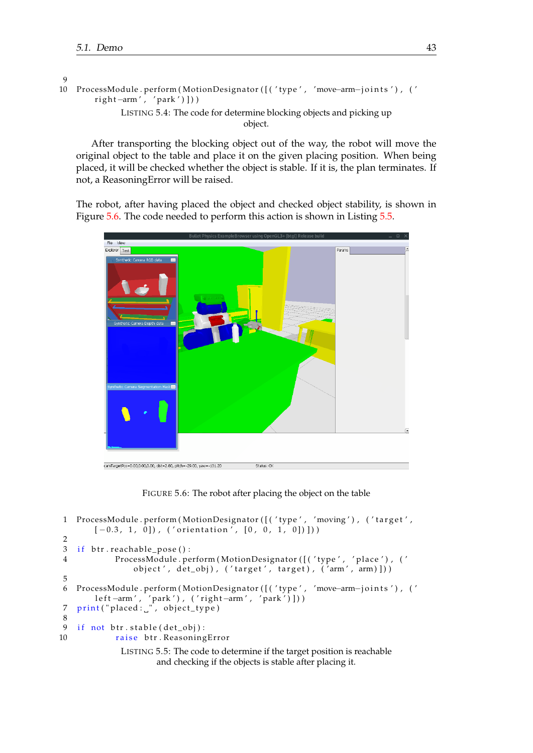```
\Omega
```

```
10 ProcessModule . perform ( Mo tionDesigna tor ( [ ( ' type ' , 'move−arm−j o i n t s ' ) , ( '
         right-arm', 'park')]))
               LISTING 5.4: The code for determine blocking objects and picking up
                                               object.
```
After transporting the blocking object out of the way, the robot will move the original object to the table and place it on the given placing position. When being placed, it will be checked whether the object is stable. If it is, the plan terminates. If not, a ReasoningError will be raised.

The robot, after having placed the object and checked object stability, is shown in Figure [5.6.](#page-56-0) The code needed to perform this action is shown in Listing [5.5.](#page-56-1)

<span id="page-56-0"></span>

FIGURE 5.6: The robot after placing the object on the table

```
1 ProcessModule . perform (MotionDesignator ([('type', 'moving'), ('target',
        [-0.3, 1, 0]), ('orientation', [0, 0, 1, 0]))
\mathcal{P}3 if btr. reachable_pose():
4 ProcessModule . perform (MotionDesignator ([('type', 'place'), ('
                 object', det_obj), ('target', target), ('arm', arm)]))
5
6 ProcessModule . perform ( Mo tionDesigna tor ( [ ( ' type ' , 'move−arm−j o i n t s ' ) , ( '
        l e f t −arm ′, ′park ′), (′right −arm ′, ′park ′)]))
 7   print("placed:_", object_type)
8
9 if not ptr.stable (det_obj):
10 raise btr. ReasoningError
              LISTING 5.5: The code to determine if the target position is reachable
                      and checking if the objects is stable after placing it.
```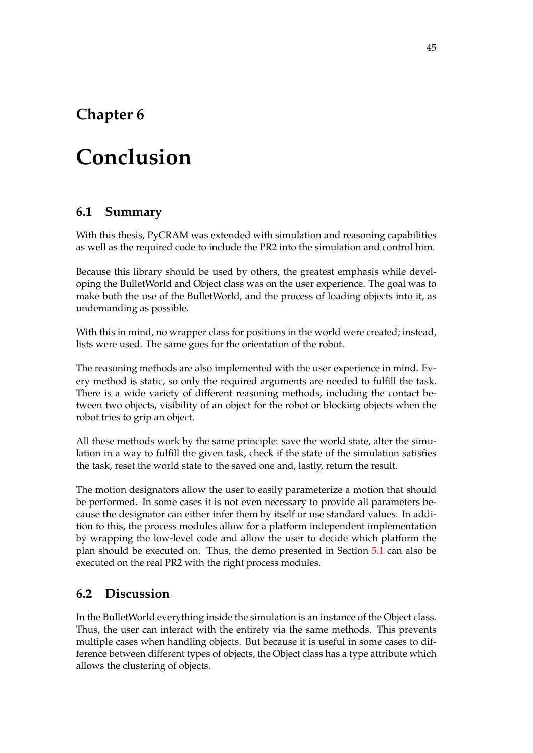# <span id="page-58-0"></span>**Chapter 6**

# **Conclusion**

## <span id="page-58-1"></span>**6.1 Summary**

With this thesis, PyCRAM was extended with simulation and reasoning capabilities as well as the required code to include the PR2 into the simulation and control him.

Because this library should be used by others, the greatest emphasis while developing the BulletWorld and Object class was on the user experience. The goal was to make both the use of the BulletWorld, and the process of loading objects into it, as undemanding as possible.

With this in mind, no wrapper class for positions in the world were created; instead, lists were used. The same goes for the orientation of the robot.

The reasoning methods are also implemented with the user experience in mind. Every method is static, so only the required arguments are needed to fulfill the task. There is a wide variety of different reasoning methods, including the contact between two objects, visibility of an object for the robot or blocking objects when the robot tries to grip an object.

All these methods work by the same principle: save the world state, alter the simulation in a way to fulfill the given task, check if the state of the simulation satisfies the task, reset the world state to the saved one and, lastly, return the result.

The motion designators allow the user to easily parameterize a motion that should be performed. In some cases it is not even necessary to provide all parameters because the designator can either infer them by itself or use standard values. In addition to this, the process modules allow for a platform independent implementation by wrapping the low-level code and allow the user to decide which platform the plan should be executed on. Thus, the demo presented in Section [5.1](#page-52-1) can also be executed on the real PR2 with the right process modules.

## <span id="page-58-2"></span>**6.2 Discussion**

In the BulletWorld everything inside the simulation is an instance of the Object class. Thus, the user can interact with the entirety via the same methods. This prevents multiple cases when handling objects. But because it is useful in some cases to difference between different types of objects, the Object class has a type attribute which allows the clustering of objects.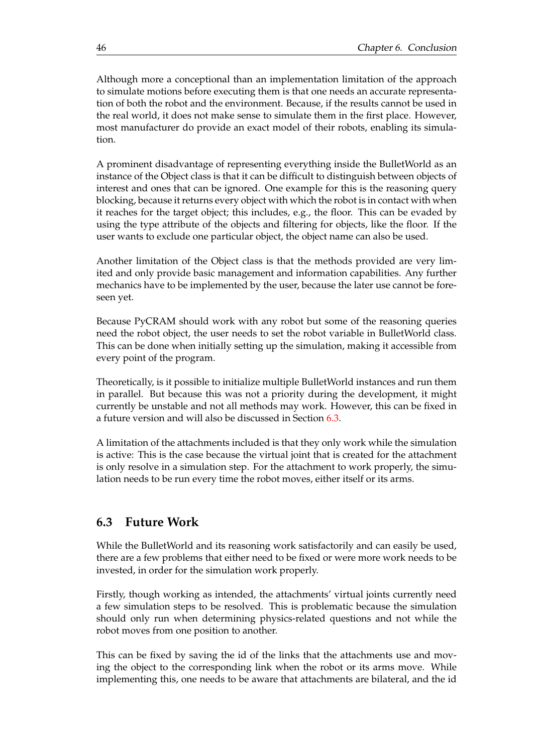Although more a conceptional than an implementation limitation of the approach to simulate motions before executing them is that one needs an accurate representation of both the robot and the environment. Because, if the results cannot be used in the real world, it does not make sense to simulate them in the first place. However, most manufacturer do provide an exact model of their robots, enabling its simulation.

A prominent disadvantage of representing everything inside the BulletWorld as an instance of the Object class is that it can be difficult to distinguish between objects of interest and ones that can be ignored. One example for this is the reasoning query blocking, because it returns every object with which the robot is in contact with when it reaches for the target object; this includes, e.g., the floor. This can be evaded by using the type attribute of the objects and filtering for objects, like the floor. If the user wants to exclude one particular object, the object name can also be used.

Another limitation of the Object class is that the methods provided are very limited and only provide basic management and information capabilities. Any further mechanics have to be implemented by the user, because the later use cannot be foreseen yet.

Because PyCRAM should work with any robot but some of the reasoning queries need the robot object, the user needs to set the robot variable in BulletWorld class. This can be done when initially setting up the simulation, making it accessible from every point of the program.

Theoretically, is it possible to initialize multiple BulletWorld instances and run them in parallel. But because this was not a priority during the development, it might currently be unstable and not all methods may work. However, this can be fixed in a future version and will also be discussed in Section [6.3.](#page-59-0)

A limitation of the attachments included is that they only work while the simulation is active: This is the case because the virtual joint that is created for the attachment is only resolve in a simulation step. For the attachment to work properly, the simulation needs to be run every time the robot moves, either itself or its arms.

### <span id="page-59-0"></span>**6.3 Future Work**

While the BulletWorld and its reasoning work satisfactorily and can easily be used, there are a few problems that either need to be fixed or were more work needs to be invested, in order for the simulation work properly.

Firstly, though working as intended, the attachments' virtual joints currently need a few simulation steps to be resolved. This is problematic because the simulation should only run when determining physics-related questions and not while the robot moves from one position to another.

This can be fixed by saving the id of the links that the attachments use and moving the object to the corresponding link when the robot or its arms move. While implementing this, one needs to be aware that attachments are bilateral, and the id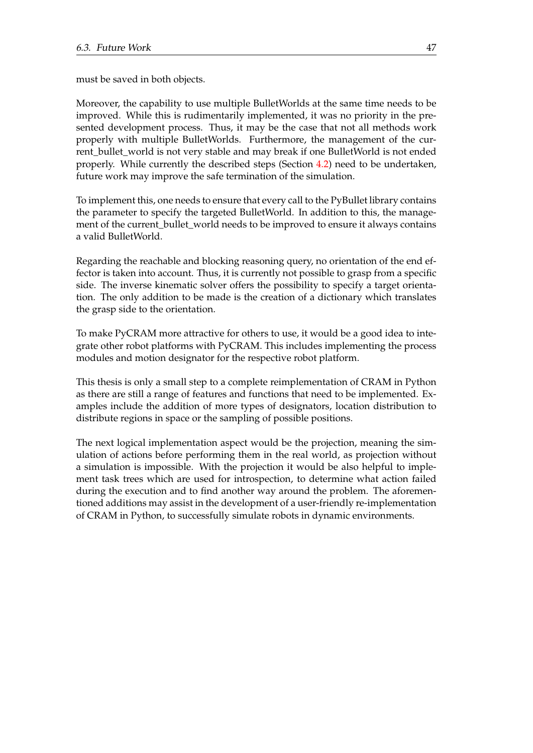must be saved in both objects.

Moreover, the capability to use multiple BulletWorlds at the same time needs to be improved. While this is rudimentarily implemented, it was no priority in the presented development process. Thus, it may be the case that not all methods work properly with multiple BulletWorlds. Furthermore, the management of the current\_bullet\_world is not very stable and may break if one BulletWorld is not ended properly. While currently the described steps (Section [4.2\)](#page-31-0) need to be undertaken, future work may improve the safe termination of the simulation.

To implement this, one needs to ensure that every call to the PyBullet library contains the parameter to specify the targeted BulletWorld. In addition to this, the management of the current\_bullet\_world needs to be improved to ensure it always contains a valid BulletWorld.

Regarding the reachable and blocking reasoning query, no orientation of the end effector is taken into account. Thus, it is currently not possible to grasp from a specific side. The inverse kinematic solver offers the possibility to specify a target orientation. The only addition to be made is the creation of a dictionary which translates the grasp side to the orientation.

To make PyCRAM more attractive for others to use, it would be a good idea to integrate other robot platforms with PyCRAM. This includes implementing the process modules and motion designator for the respective robot platform.

This thesis is only a small step to a complete reimplementation of CRAM in Python as there are still a range of features and functions that need to be implemented. Examples include the addition of more types of designators, location distribution to distribute regions in space or the sampling of possible positions.

The next logical implementation aspect would be the projection, meaning the simulation of actions before performing them in the real world, as projection without a simulation is impossible. With the projection it would be also helpful to implement task trees which are used for introspection, to determine what action failed during the execution and to find another way around the problem. The aforementioned additions may assist in the development of a user-friendly re-implementation of CRAM in Python, to successfully simulate robots in dynamic environments.